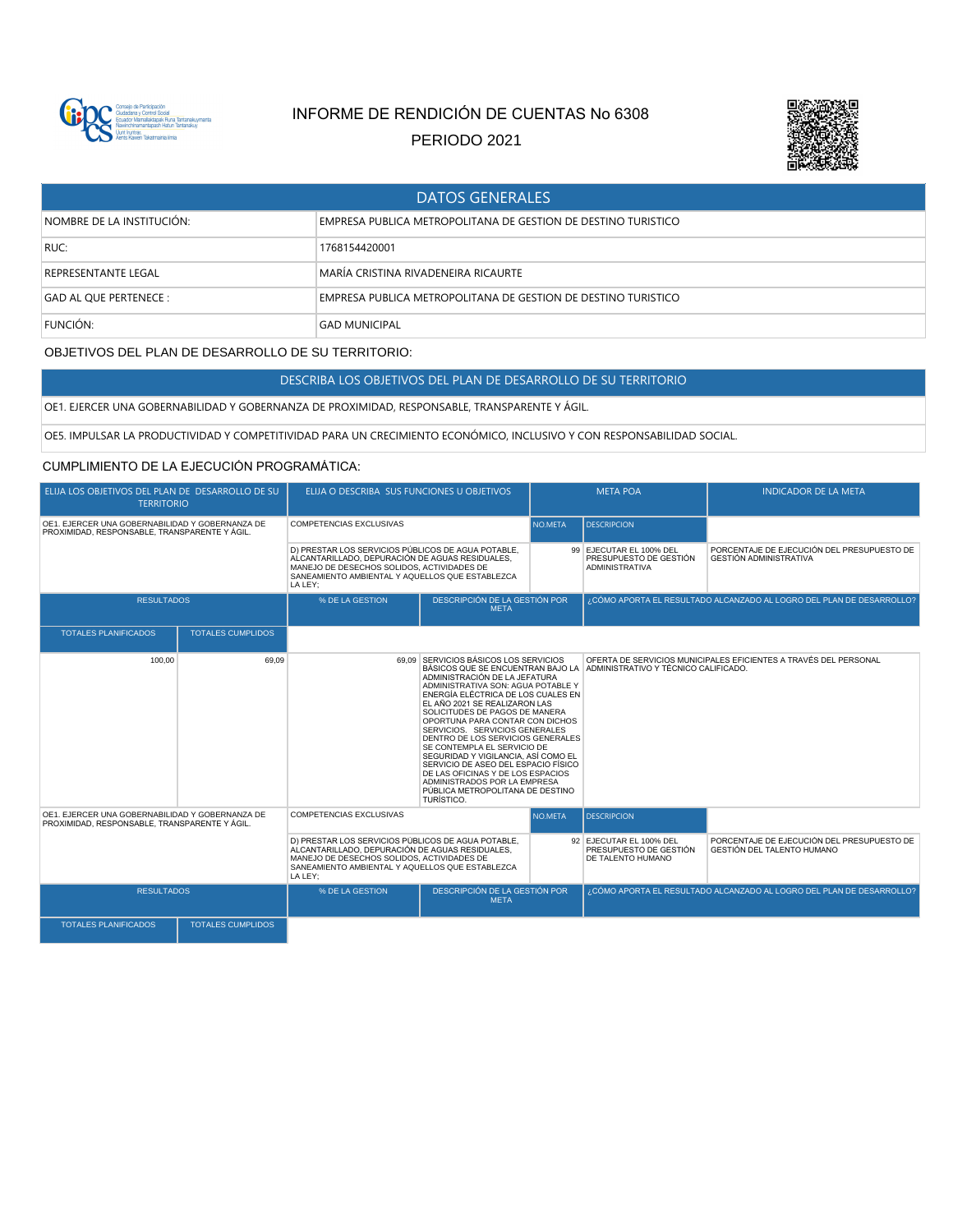

# INFORME DE RENDICIÓN DE CUENTAS No 6308

PERIODO 2021



| <b>DATOS GENERALES</b>     |                                                               |  |  |  |  |
|----------------------------|---------------------------------------------------------------|--|--|--|--|
| NOMBRE DE LA INSTITUCIÓN:  | EMPRESA PUBLICA METROPOLITANA DE GESTION DE DESTINO TURISTICO |  |  |  |  |
| RUC:                       | 1768154420001                                                 |  |  |  |  |
| <b>REPRESENTANTE LEGAL</b> | MARÍA CRISTINA RIVADENEIRA RICAURTE                           |  |  |  |  |
| GAD AL QUE PERTENECE :     | EMPRESA PUBLICA METROPOLITANA DE GESTION DE DESTINO TURISTICO |  |  |  |  |
| FUNCIÓN:                   | <b>GAD MUNICIPAL</b>                                          |  |  |  |  |

## OBJETIVOS DEL PLAN DE DESARROLLO DE SU TERRITORIO:

DESCRIBA LOS OBJETIVOS DEL PLAN DE DESARROLLO DE SU TERRITORIO

#### OE1. EJERCER UNA GOBERNABILIDAD Y GOBERNANZA DE PROXIMIDAD, RESPONSABLE, TRANSPARENTE Y ÁGIL.

OE5. IMPULSAR LA PRODUCTIVIDAD Y COMPETITIVIDAD PARA UN CRECIMIENTO ECONÓMICO, INCLUSIVO Y CON RESPONSABILIDAD SOCIAL.

## CUMPLIMIENTO DE LA EJECUCIÓN PROGRAMÁTICA:

| ELIJA LOS OBJETIVOS DEL PLAN DE DESARROLLO DE SU<br><b>TERRITORIO</b>                            |                          | ELIJA O DESCRIBA SUS FUNCIONES U OBJETIVOS                                                                                                                                                                                                                                                                                                                                                                                                                                                                                                                                                                                                    |                                              | <b>META POA</b> |                                                                            | <b>INDICADOR DE LA META</b>                                                 |
|--------------------------------------------------------------------------------------------------|--------------------------|-----------------------------------------------------------------------------------------------------------------------------------------------------------------------------------------------------------------------------------------------------------------------------------------------------------------------------------------------------------------------------------------------------------------------------------------------------------------------------------------------------------------------------------------------------------------------------------------------------------------------------------------------|----------------------------------------------|-----------------|----------------------------------------------------------------------------|-----------------------------------------------------------------------------|
| OE1. EJERCER UNA GOBERNABILIDAD Y GOBERNANZA DE<br>PROXIMIDAD, RESPONSABLE, TRANSPARENTE Y ÁGIL. |                          | <b>COMPETENCIAS EXCLUSIVAS</b>                                                                                                                                                                                                                                                                                                                                                                                                                                                                                                                                                                                                                |                                              | NO.META         | <b>DESCRIPCION</b>                                                         |                                                                             |
|                                                                                                  |                          | D) PRESTAR LOS SERVICIOS PÚBLICOS DE AGUA POTABLE.<br>ALCANTARILLADO. DEPURACIÓN DE AGUAS RESIDUALES.<br>MANEJO DE DESECHOS SOLIDOS, ACTIVIDADES DE<br>SANEAMIENTO AMBIENTAL Y AQUELLOS QUE ESTABLEZCA<br>LA LEY:                                                                                                                                                                                                                                                                                                                                                                                                                             |                                              |                 | 99 EJECUTAR EL 100% DEL<br>PRESUPUESTO DE GESTIÓN<br><b>ADMINISTRATIVA</b> | PORCENTAJE DE EJECUCIÓN DEL PRESUPUESTO DE<br><b>GESTIÓN ADMINISTRATIVA</b> |
| <b>RESULTADOS</b>                                                                                |                          | % DE LA GESTION                                                                                                                                                                                                                                                                                                                                                                                                                                                                                                                                                                                                                               | DESCRIPCIÓN DE LA GESTIÓN POR<br><b>META</b> |                 |                                                                            | ¿CÓMO APORTA EL RESULTADO ALCANZADO AL LOGRO DEL PLAN DE DESARROLLO?        |
| <b>TOTALES PLANIFICADOS</b>                                                                      | <b>TOTALES CUMPLIDOS</b> |                                                                                                                                                                                                                                                                                                                                                                                                                                                                                                                                                                                                                                               |                                              |                 |                                                                            |                                                                             |
| 100.00                                                                                           | 69.09                    | 69.09 SERVICIOS BÁSICOS LOS SERVICIOS<br>BÁSICOS QUE SE ENCUENTRAN BAJO LA ADMINISTRATIVO Y TÉCNICO CALIFICADO.<br>ADMINISTRACIÓN DE LA JEFATURA<br>ADMINISTRATIVA SON: AGUA POTABLE Y<br>ENERGÍA ELÉCTRICA DE LOS CUALES EN<br>EL AÑO 2021 SE REALIZARON LAS<br>SOLICITUDES DE PAGOS DE MANERA<br>OPORTUNA PARA CONTAR CON DICHOS<br>SERVICIOS. SERVICIOS GENERALES<br>DENTRO DE LOS SERVICIOS GENERALES<br>SE CONTEMPLA EL SERVICIO DE<br>SEGURIDAD Y VIGILANCIA, ASÍ COMO EL<br>SERVICIO DE ASEO DEL ESPACIO FÍSICO<br>DE LAS OFICINAS Y DE LOS ESPACIOS<br>ADMINISTRADOS POR LA EMPRESA<br>PÚBLICA METROPOLITANA DE DESTINO<br>TURÍSTICO. |                                              |                 |                                                                            | OFERTA DE SERVICIOS MUNICIPALES EFICIENTES A TRAVÉS DEL PERSONAL            |
| OE1. EJERCER UNA GOBERNABILIDAD Y GOBERNANZA DE<br>PROXIMIDAD, RESPONSABLE, TRANSPARENTE Y ÁGIL. |                          | <b>COMPETENCIAS EXCLUSIVAS</b>                                                                                                                                                                                                                                                                                                                                                                                                                                                                                                                                                                                                                |                                              | NO.META         | <b>DESCRIPCION</b>                                                         |                                                                             |
|                                                                                                  |                          | D) PRESTAR LOS SERVICIOS PÚBLICOS DE AGUA POTABLE,<br>ALCANTARILLADO, DEPURACIÓN DE AGUAS RESIDUALES,<br>MANEJO DE DESECHOS SOLIDOS, ACTIVIDADES DE<br>SANEAMIENTO AMBIENTAL Y AQUELLOS QUE ESTABLEZCA<br>LA LEY:                                                                                                                                                                                                                                                                                                                                                                                                                             |                                              |                 | 92 EJECUTAR EL 100% DEL<br>PRESUPUESTO DE GESTIÓN<br>DE TALENTO HUMANO     | PORCENTAJE DE EJECUCIÓN DEL PRESUPUESTO DE<br>GESTIÓN DEL TALENTO HUMANO    |
| <b>RESULTADOS</b>                                                                                |                          | % DE LA GESTION                                                                                                                                                                                                                                                                                                                                                                                                                                                                                                                                                                                                                               | DESCRIPCIÓN DE LA GESTIÓN POR<br><b>META</b> |                 |                                                                            | ¿CÓMO APORTA EL RESULTADO ALCANZADO AL LOGRO DEL PLAN DE DESARROLLO?        |
| <b>TOTALES PLANIFICADOS</b>                                                                      | <b>TOTALES CUMPLIDOS</b> |                                                                                                                                                                                                                                                                                                                                                                                                                                                                                                                                                                                                                                               |                                              |                 |                                                                            |                                                                             |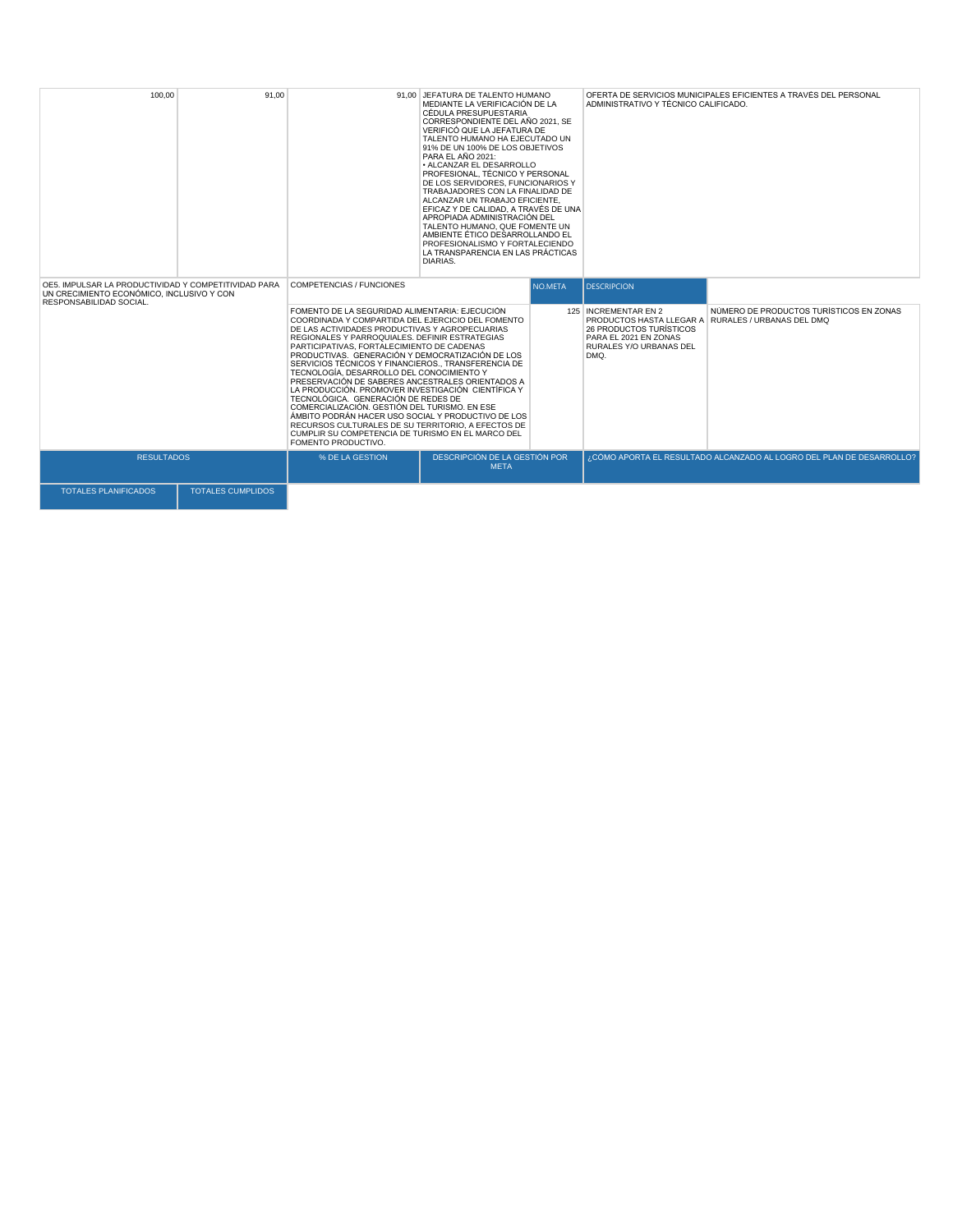| 100.00                                                                                                                       | 91.00                    | JEFATURA DE TALENTO HUMANO<br>91.00<br>MEDIANTE LA VERIFICACIÓN DE LA<br>CÉDULA PRESUPUESTARIA<br>CORRESPONDIENTE DEL AÑO 2021, SE<br>VERIFICÓ QUE LA JEFATURA DE<br>TALENTO HUMANO HA EJECUTADO UN<br>91% DE UN 100% DE LOS OBJETIVOS<br>PARA EL AÑO 2021:<br>· ALCANZAR EL DESARROLLO<br>PROFESIONAL. TÉCNICO Y PERSONAL<br>DE LOS SERVIDORES, FUNCIONARIOS Y<br>TRABAJADORES CON LA FINALIDAD DE<br>ALCANZAR UN TRABAJO EFICIENTE.<br>EFICAZ Y DE CALIDAD. A TRAVÉS DE UNA<br>APROPIADA ADMINISTRACIÓN DEL<br>TALENTO HUMANO, QUE FOMENTE UN<br>AMBIENTE ÉTICO DESARROLLANDO EL<br>PROFESIONALISMO Y FORTALECIENDO<br>LA TRANSPARENCIA EN LAS PRÁCTICAS<br>DIARIAS.<br><b>COMPETENCIAS / FUNCIONES</b><br>NO.META                                                                                  |                                              | OFERTA DE SERVICIOS MUNICIPALES EFICIENTES A TRAVÉS DEL PERSONAL<br>ADMINISTRATIVO Y TÉCNICO CALIFICADO.    |                                                                                               |  |
|------------------------------------------------------------------------------------------------------------------------------|--------------------------|-------------------------------------------------------------------------------------------------------------------------------------------------------------------------------------------------------------------------------------------------------------------------------------------------------------------------------------------------------------------------------------------------------------------------------------------------------------------------------------------------------------------------------------------------------------------------------------------------------------------------------------------------------------------------------------------------------------------------------------------------------------------------------------------------------|----------------------------------------------|-------------------------------------------------------------------------------------------------------------|-----------------------------------------------------------------------------------------------|--|
| OE5. IMPULSAR LA PRODUCTIVIDAD Y COMPETITIVIDAD PARA<br>UN CRECIMIENTO ECONÓMICO, INCLUSIVO Y CON<br>RESPONSABILIDAD SOCIAL. |                          |                                                                                                                                                                                                                                                                                                                                                                                                                                                                                                                                                                                                                                                                                                                                                                                                       |                                              | <b>DESCRIPCION</b>                                                                                          |                                                                                               |  |
|                                                                                                                              |                          | FOMENTO DE LA SEGURIDAD ALIMENTARIA: EJECUCIÓN<br>COORDINADA Y COMPARTIDA DEL EJERCICIO DEL FOMENTO<br>DE LAS ACTIVIDADES PRODUCTIVAS Y AGROPECUARIAS<br>REGIONALES Y PARROQUIALES. DEFINIR ESTRATEGIAS<br>PARTICIPATIVAS, FORTALECIMIENTO DE CADENAS<br>PRODUCTIVAS. GENERACIÓN Y DEMOCRATIZACIÓN DE LOS<br>SERVICIOS TÉCNICOS Y FINANCIEROS TRANSFERENCIA DE<br>TECNOLOGÍA, DESARROLLO DEL CONOCIMIENTO Y<br>PRESERVACIÓN DE SABERES ANCESTRALES ORIENTADOS A<br>LA PRODUCCIÓN, PROMOVER INVESTIGACIÓN CIENTÍFICA Y<br>TECNOLÓGICA. GENERACIÓN DE REDES DE<br>COMERCIALIZACIÓN, GESTIÓN DEL TURISMO, EN ESE<br>ÁMBITO PODRÁN HACER USO SOCIAL Y PRODUCTIVO DE LOS<br>RECURSOS CULTURALES DE SU TERRITORIO. A EFECTOS DE<br>CUMPLIR SU COMPETENCIA DE TURISMO EN EL MARCO DEL<br>FOMENTO PRODUCTIVO. |                                              | 125 INCREMENTAR EN 2<br>26 PRODUCTOS TURÍSTICOS<br>PARA EL 2021 EN ZONAS<br>RURALES Y/O URBANAS DEL<br>DMQ. | NÚMERO DE PRODUCTOS TURÍSTICOS EN ZONAS<br>PRODUCTOS HASTA LLEGAR A RURALES / URBANAS DEL DMQ |  |
| <b>RESULTADOS</b>                                                                                                            |                          | % DE LA GESTION                                                                                                                                                                                                                                                                                                                                                                                                                                                                                                                                                                                                                                                                                                                                                                                       | DESCRIPCIÓN DE LA GESTIÓN POR<br><b>META</b> | ¿CÓMO APORTA EL RESULTADO ALCANZADO AL LOGRO DEL PLAN DE DESARROLLO?                                        |                                                                                               |  |
| <b>TOTALES PLANIFICADOS</b>                                                                                                  | <b>TOTALES CUMPLIDOS</b> |                                                                                                                                                                                                                                                                                                                                                                                                                                                                                                                                                                                                                                                                                                                                                                                                       |                                              |                                                                                                             |                                                                                               |  |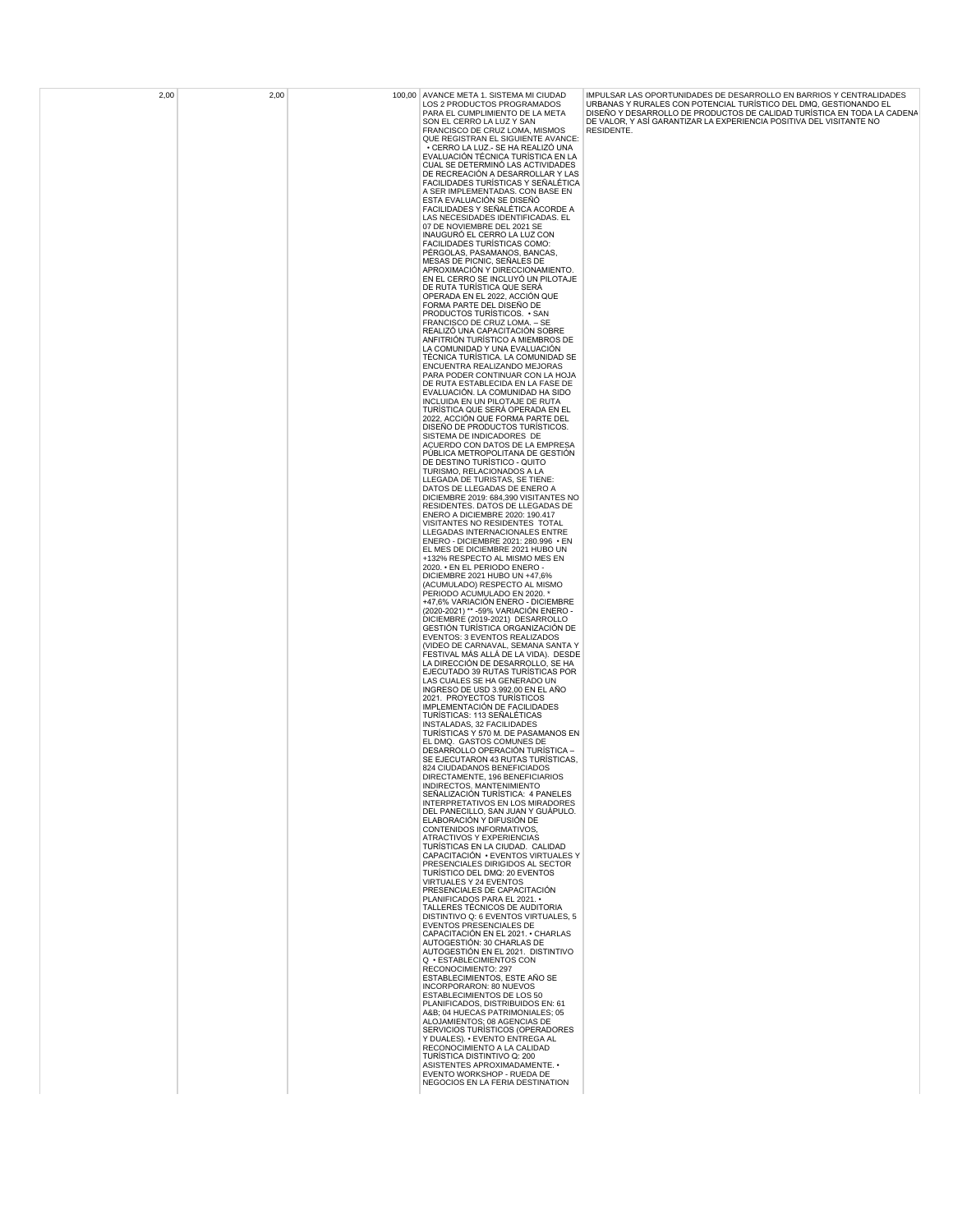| 2,00 | 2,00 | 100,00 AVANCE META 1. SISTEMA MI CIUDAD<br>LOS 2 PRODUCTOS PROGRAMADOS                                          | IMPULSAR LAS OPORTUNIDADES DE DESARROLLO EN BARRIOS Y CENTRALIDADES<br>URBANAS Y RURALES CON POTENCIAL TURÍSTICO DEL DMQ, GESTIONANDO EL                     |
|------|------|-----------------------------------------------------------------------------------------------------------------|--------------------------------------------------------------------------------------------------------------------------------------------------------------|
|      |      | PARA EL CUMPLIMIENTO DE LA META<br>SON EL CERRO LA LUZ Y SAN<br>FRANCISCO DE CRUZ LOMA, MISMOS                  | DISEÑO Y DESARROLLO DE PRODUCTOS DE CALIDAD TURÍSTICA EN TODA LA CADENA<br>DE VALOR, Y ASÍ GARANTIZAR LA EXPERIENCIA POSITIVA DEL VISITANTE NO<br>RESIDENTE. |
|      |      | QUE REGISTRAN EL SIGUIENTE AVANCE:<br>• CERRO LA LUZ.- SE HA REALIZÓ UNA<br>EVALUACIÓN TÉCNICA TURÍSTICA EN LA  |                                                                                                                                                              |
|      |      | CUAL SE DETERMINÓ LAS ACTIVIDADES<br>DE RECREACIÓN A DESARROLLAR Y LAS                                          |                                                                                                                                                              |
|      |      | FACILIDADES TURÍSTICAS Y SEÑALÉTICA<br>A SER IMPLEMENTADAS. CON BASE EN<br>ESTA EVALUACIÓN SE DISEÑÓ            |                                                                                                                                                              |
|      |      | FACILIDADES Y SEÑALÉTICA ACORDE A<br>LAS NECESIDADES IDENTIFICADAS. EL                                          |                                                                                                                                                              |
|      |      | 07 DE NOVIEMBRE DEL 2021 SE<br>INAUGURÓ EL CERRO LA LUZ CON<br>FACILIDADES TURÍSTICAS COMO:                     |                                                                                                                                                              |
|      |      | PÉRGOLAS, PASAMANOS, BANCAS,<br>MESAS DE PICNIC, SEÑALES DE                                                     |                                                                                                                                                              |
|      |      | APROXIMACIÓN Y DIRECCIONAMIENTO.<br>EN EL CERRO SE INCLUYÓ UN PILOTAJE                                          |                                                                                                                                                              |
|      |      | DE RUTA TURÍSTICA QUE SERA<br>OPERADA EN EL 2022, ACCIÓN QUE<br>FORMA PARTE DEL DISEÑO DE                       |                                                                                                                                                              |
|      |      | PRODUCTOS TURÍSTICOS. • SAN<br>FRANCISCO DE CRUZ LOMA. - SE<br>REALIZÓ UNA CAPACITACIÓN SOBRE                   |                                                                                                                                                              |
|      |      | ANFITRIÓN TURÍSTICO A MIEMBROS DE<br>LA COMUNIDAD Y UNA EVALUACIÓN                                              |                                                                                                                                                              |
|      |      | TÉCNICA TURÍSTICA. LA COMUNIDAD SE<br>ENCUENTRA REALIZANDO MEJORAS<br>PARA PODER CONTINUAR CON LA HOJA          |                                                                                                                                                              |
|      |      | DE RUTA ESTABLECIDA EN LA FASE DE<br>EVALUACIÓN. LA COMUNIDAD HA SIDO                                           |                                                                                                                                                              |
|      |      | INCLUIDA EN UN PILOTAJE DE RUTA<br>TURÍSTICA QUE SERÁ OPERADA EN EL<br>2022, ACCIÓN QUE FORMA PARTE DEL         |                                                                                                                                                              |
|      |      | DISEÑO DE PRODUCTOS TURÍSTICOS.<br>SISTEMA DE INDICADORES DE                                                    |                                                                                                                                                              |
|      |      | ACUERDO CON DATOS DE LA EMPRESA<br>PÚBLICA METROPOLITANA DE GESTIÓN<br>DE DESTINO TURÍSTICO - QUITO             |                                                                                                                                                              |
|      |      | TURISMO, RELACIONADOS A LA<br>LLEGADA DE TURISTAS. SE TIENE:                                                    |                                                                                                                                                              |
|      |      | DATOS DE LLEGADAS DE ENERO A<br>DICIEMBRE 2019: 684,390 VISITANTES NO<br>RESIDENTES. DATOS DE LLEGADAS DE       |                                                                                                                                                              |
|      |      | ENERO A DICIEMBRE 2020: 190.417<br>VISITANTES NO RESIDENTES TOTAL                                               |                                                                                                                                                              |
|      |      | LLEGADAS INTERNACIONALES ENTRE<br>ENERO - DICIEMBRE 2021: 280.996 · EN<br>EL MES DE DICIEMBRE 2021 HUBO UN      |                                                                                                                                                              |
|      |      | +132% RESPECTO AL MISMO MES EN<br>2020. • EN EL PERIODO ENERO -<br>DICIEMBRE 2021 HUBO UN +47,6%                |                                                                                                                                                              |
|      |      | (ACUMULADO) RESPECTO AL MISMO<br>PERIODO ACUMULADO EN 2020.                                                     |                                                                                                                                                              |
|      |      | +47,6% VARIACIÓN ENERO - DICIEMBRE<br>(2020-2021) ** -59% VARIACIÓN ENERO -<br>DICIEMBRE (2019-2021) DESARROLLO |                                                                                                                                                              |
|      |      | GESTIÓN TURÍSTICA ORGANIZACIÓN DE<br>EVENTOS: 3 EVENTOS REALIZADOS                                              |                                                                                                                                                              |
|      |      | (VIDEO DE CARNAVAL, SEMANA SANTA Y<br>FESTIVAL MÁS ALLÁ DE LA VIDA). DESDE<br>LA DIRECCIÓN DE DESARROLLO, SE HA |                                                                                                                                                              |
|      |      | EJECUTADO 39 RUTAS TURÍSTICAS POR<br>LAS CUALES SE HA GENERADO UN<br>INGRESO DE USD 3.992.00 EN EL AÑO          |                                                                                                                                                              |
|      |      | 2021. PROYECTOS TURISTICOS<br>IMPLEMENTACIÓN DE FACILIDADES                                                     |                                                                                                                                                              |
|      |      | TURÍSTICAS: 113 SEÑALÉTICAS<br>INSTALADAS, 32 FACILIDADES<br>TURISTICAS Y 570 M. DE PASAMANOS EN                |                                                                                                                                                              |
|      |      | EL DMQ. GASTOS COMUNES DE<br>DESARROLLO OPERACIÓN TURÍSTICA -<br>SE EJECUTARON 43 RUTAS TURÍSTICAS.             |                                                                                                                                                              |
|      |      | 824 CIUDADANOS BENEFICIADOS<br>DIRECTAMENTE, 196 BENEFICIARIOS                                                  |                                                                                                                                                              |
|      |      | INDIRECTOS. MANTENIMIENTO<br>SEÑALIZACIÓN TURÍSTICA: 4 PANELES<br>INTERPRETATIVOS EN LOS MIRADORES              |                                                                                                                                                              |
|      |      | DEL PANECILLO, SAN JUAN Y GUÁPULO.<br>ELABORACIÓN Y DIFUSIÓN DE                                                 |                                                                                                                                                              |
|      |      | CONTENIDOS INFORMATIVOS,<br>ATRACTIVOS Y EXPERIENCIAS<br>TURÍSTICAS EN LA CIUDAD. CALIDAD                       |                                                                                                                                                              |
|      |      | CAPACITACIÓN · EVENTOS VIRTUALES Y<br>PRESENCIALES DIRIGIDOS AL SECTOR<br>TURÍSTICO DEL DMQ: 20 EVENTOS         |                                                                                                                                                              |
|      |      | VIRTUALES Y 24 EVENTOS<br>PRESENCIALES DE CAPACITACIÓN                                                          |                                                                                                                                                              |
|      |      | PLANIFICADOS PARA EL 2021. •<br>TALLERES TÉCNICOS DE AUDITORIA<br>DISTINTIVO Q: 6 EVENTOS VIRTUALES, 5          |                                                                                                                                                              |
|      |      | EVENTOS PRESENCIALES DE<br>CAPACITACIÓN EN EL 2021. • CHARLAS                                                   |                                                                                                                                                              |
|      |      | AUTOGESTIÓN: 30 CHARLAS DE<br>AUTOGESTIÓN EN EL 2021. DISTINTIVO<br>Q · ESTABLECIMIENTOS CON                    |                                                                                                                                                              |
|      |      | RECONOCIMIENTO: 297<br>ESTABLECIMIENTOS, ESTE AÑO SE<br>INCORPORARON: 80 NUEVOS                                 |                                                                                                                                                              |
|      |      | ESTABLECIMIENTOS DE LOS 50<br>PLANIFICADOS, DISTRIBUIDOS EN: 61                                                 |                                                                                                                                                              |
|      |      | A&B 04 HUECAS PATRIMONIALES; 05<br>ALOJAMIENTOS; 08 AGENCIAS DE<br>SERVICIOS TURÍSTICOS (OPERADORES             |                                                                                                                                                              |
|      |      | Y DUALES). . EVENTO ENTREGA AL<br>RECONOCIMIENTO A LA CALIDAD                                                   |                                                                                                                                                              |
|      |      | TURÍSTICA DISTINTIVO Q: 200<br>ASISTENTES APROXIMADAMENTE. •<br>EVENTO WORKSHOP - RUEDA DE                      |                                                                                                                                                              |
|      |      | NEGOCIOS EN LA FERIA DESTINATION                                                                                |                                                                                                                                                              |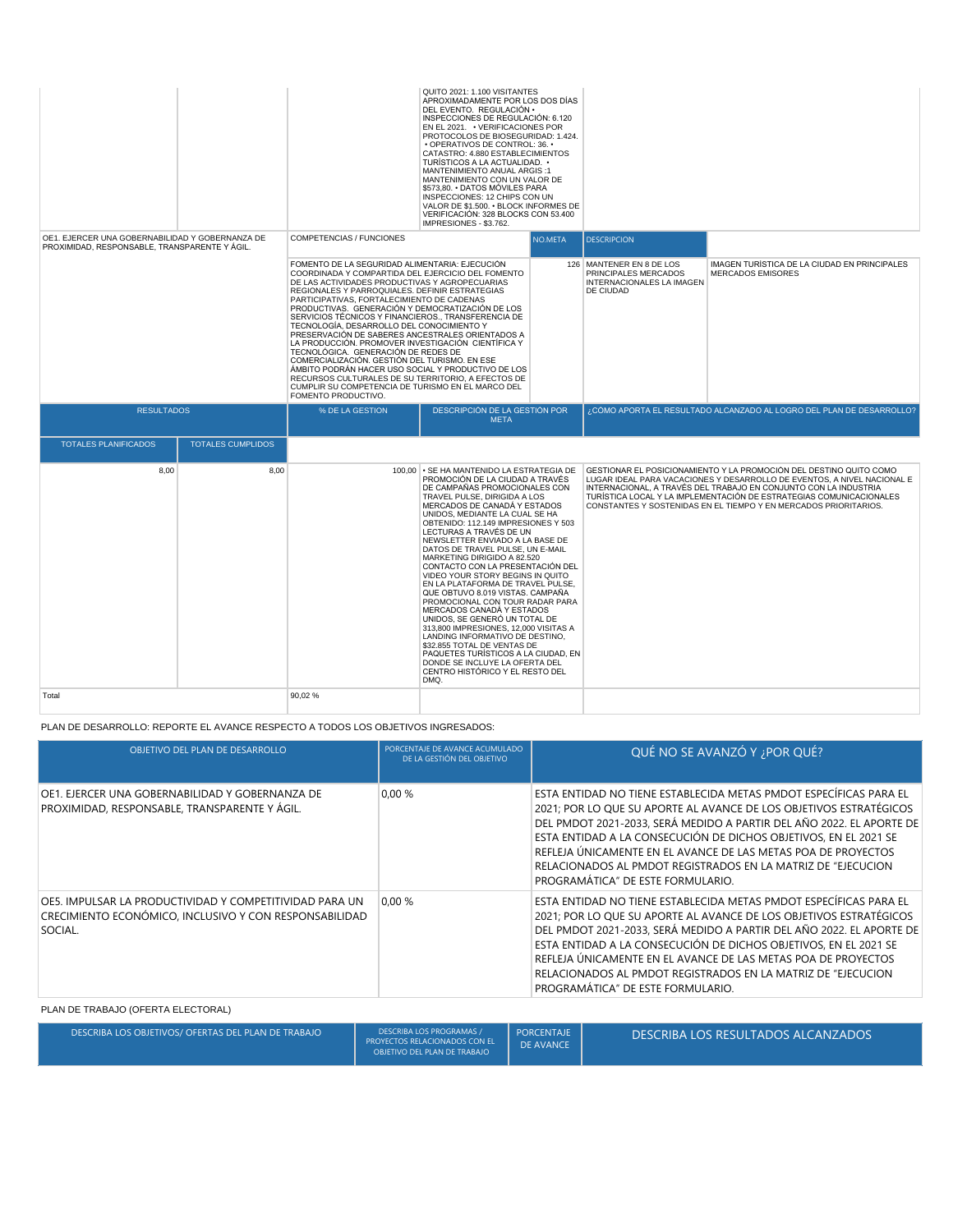|                                                                                                  |                          |                                                                                                                                                                                                                                                                                                                                                                                                                                                                                                                                                                                                                                                                                                                                                                                                       | QUITO 2021: 1.100 VISITANTES<br>APROXIMADAMENTE POR LOS DOS DÍAS<br>DEL EVENTO. REGULACIÓN ·<br>INSPECCIONES DE REGULACIÓN: 6.120<br>EN EL 2021. • VERIFICACIONES POR<br>PROTOCOLOS DE BIOSEGURIDAD: 1.424.<br>• OPERATIVOS DE CONTROL: 36. •<br>CATASTRO: 4.880 ESTABLECIMIENTOS<br>TURÍSTICOS A LA ACTUALIDAD. •<br>MANTENIMIENTO ANUAL ARGIS:1<br>MANTENIMIENTO CON UN VALOR DE<br>\$573.80. • DATOS MÓVILES PARA<br>INSPECCIONES: 12 CHIPS CON UN<br>VALOR DE \$1.500. • BLOCK INFORMES DE<br>VERIFICACIÓN: 328 BLOCKS CON 53.400<br>IMPRESIONES - \$3,762.                                                                                                                                                                                                                                                                                                          |         |                                                                                            |                                                                                                                                                                                                                                                                                                                                                              |  |
|--------------------------------------------------------------------------------------------------|--------------------------|-------------------------------------------------------------------------------------------------------------------------------------------------------------------------------------------------------------------------------------------------------------------------------------------------------------------------------------------------------------------------------------------------------------------------------------------------------------------------------------------------------------------------------------------------------------------------------------------------------------------------------------------------------------------------------------------------------------------------------------------------------------------------------------------------------|--------------------------------------------------------------------------------------------------------------------------------------------------------------------------------------------------------------------------------------------------------------------------------------------------------------------------------------------------------------------------------------------------------------------------------------------------------------------------------------------------------------------------------------------------------------------------------------------------------------------------------------------------------------------------------------------------------------------------------------------------------------------------------------------------------------------------------------------------------------------------|---------|--------------------------------------------------------------------------------------------|--------------------------------------------------------------------------------------------------------------------------------------------------------------------------------------------------------------------------------------------------------------------------------------------------------------------------------------------------------------|--|
| OE1. EJERCER UNA GOBERNABILIDAD Y GOBERNANZA DE<br>PROXIMIDAD, RESPONSABLE, TRANSPARENTE Y ÁGIL. |                          | COMPETENCIAS / FUNCIONES                                                                                                                                                                                                                                                                                                                                                                                                                                                                                                                                                                                                                                                                                                                                                                              |                                                                                                                                                                                                                                                                                                                                                                                                                                                                                                                                                                                                                                                                                                                                                                                                                                                                          | NO.META | <b>DESCRIPCION</b>                                                                         |                                                                                                                                                                                                                                                                                                                                                              |  |
|                                                                                                  |                          | FOMENTO DE LA SEGURIDAD ALIMENTARIA: EJECUCIÓN<br>COORDINADA Y COMPARTIDA DEL EJERCICIO DEL FOMENTO<br>DE LAS ACTIVIDADES PRODUCTIVAS Y AGROPECUARIAS<br>REGIONALES Y PARROQUIALES. DEFINIR ESTRATEGIAS<br>PARTICIPATIVAS, FORTALECIMIENTO DE CADENAS<br>PRODUCTIVAS. GENERACIÓN Y DEMOCRATIZACIÓN DE LOS<br>SERVICIOS TÉCNICOS Y FINANCIEROS TRANSFERENCIA DE<br>TECNOLOGÍA, DESARROLLO DEL CONOCIMIENTO Y<br>PRESERVACIÓN DE SABERES ANCESTRALES ORIENTADOS A<br>LA PRODUCCIÓN. PROMOVER INVESTIGACIÓN CIENTÍFICA Y<br>TECNOLÓGICA. GENERACIÓN DE REDES DE<br>COMERCIALIZACIÓN. GESTIÓN DEL TURISMO. EN ESE<br>ÁMBITO PODRÁN HACER USO SOCIAL Y PRODUCTIVO DE LOS<br>RECURSOS CULTURALES DE SU TERRITORIO, A EFECTOS DE<br>CUMPLIR SU COMPETENCIA DE TURISMO EN EL MARCO DEL<br>FOMENTO PRODUCTIVO. |                                                                                                                                                                                                                                                                                                                                                                                                                                                                                                                                                                                                                                                                                                                                                                                                                                                                          |         | 126 MANTENER EN 8 DE LOS<br>PRINCIPALES MERCADOS<br>INTERNACIONALES LA IMAGEN<br>DE CIUDAD | IMAGEN TURÍSTICA DE LA CIUDAD EN PRINCIPALES<br><b>MERCADOS EMISORES</b>                                                                                                                                                                                                                                                                                     |  |
| <b>RESULTADOS</b>                                                                                |                          | % DE LA GESTION                                                                                                                                                                                                                                                                                                                                                                                                                                                                                                                                                                                                                                                                                                                                                                                       | DESCRIPCIÓN DE LA GESTIÓN POR<br><b>META</b>                                                                                                                                                                                                                                                                                                                                                                                                                                                                                                                                                                                                                                                                                                                                                                                                                             |         | ¿CÓMO APORTA EL RESULTADO ALCANZADO AL LOGRO DEL PLAN DE DESARROLLO?                       |                                                                                                                                                                                                                                                                                                                                                              |  |
| <b>TOTALES PLANIFICADOS</b>                                                                      | <b>TOTALES CUMPLIDOS</b> |                                                                                                                                                                                                                                                                                                                                                                                                                                                                                                                                                                                                                                                                                                                                                                                                       |                                                                                                                                                                                                                                                                                                                                                                                                                                                                                                                                                                                                                                                                                                                                                                                                                                                                          |         |                                                                                            |                                                                                                                                                                                                                                                                                                                                                              |  |
| 8,00                                                                                             | 8,00                     |                                                                                                                                                                                                                                                                                                                                                                                                                                                                                                                                                                                                                                                                                                                                                                                                       | 100.00 • SE HA MANTENIDO LA ESTRATEGIA DE<br>PROMOCIÓN DE LA CIUDAD A TRAVÉS<br>DE CAMPAÑAS PROMOCIONALES CON<br>TRAVEL PULSE, DIRIGIDA A LOS<br>MERCADOS DE CANADÁ Y ESTADOS<br>UNIDOS. MEDIANTE LA CUAL SE HA<br>OBTENIDO: 112.149 IMPRESIONES Y 503<br>LECTURAS A TRAVÉS DE UN<br>NEWSLETTER ENVIADO A LA BASE DE<br>DATOS DE TRAVEL PULSE, UN E-MAIL<br>MARKETING DIRIGIDO A 82.520<br>CONTACTO CON LA PRESENTACIÓN DEL<br>VIDEO YOUR STORY BEGINS IN QUITO<br>EN LA PLATAFORMA DE TRAVEL PULSE.<br>QUE OBTUVO 8.019 VISTAS, CAMPAÑA<br>PROMOCIONAL CON TOUR RADAR PARA<br>MERCADOS CANADÁ Y ESTADOS<br>UNIDOS, SE GENERÓ UN TOTAL DE<br>313,800 IMPRESIONES, 12,000 VISITAS A<br>LANDING INFORMATIVO DE DESTINO,<br>\$32.855 TOTAL DE VENTAS DE<br>PAQUETES TURÍSTICOS A LA CIUDAD, EN<br>DONDE SE INCLUYE LA OFERTA DEL<br>CENTRO HISTÓRICO Y EL RESTO DEL<br>DMO. |         |                                                                                            | GESTIONAR EL POSICIONAMIENTO Y LA PROMOCIÓN DEL DESTINO QUITO COMO<br>LUGAR IDEAL PARA VACACIONES Y DESARROLLO DE EVENTOS. A NIVEL NACIONAL E<br>INTERNACIONAL, A TRAVÉS DEL TRABAJO EN CONJUNTO CON LA INDUSTRIA<br>TURÍSTICA LOCAL Y LA IMPLEMENTACIÓN DE ESTRATEGIAS COMUNICACIONALES<br>CONSTANTES Y SOSTENIDAS EN EL TIEMPO Y EN MERCADOS PRIORITARIOS. |  |
| Total                                                                                            |                          | 90.02%                                                                                                                                                                                                                                                                                                                                                                                                                                                                                                                                                                                                                                                                                                                                                                                                |                                                                                                                                                                                                                                                                                                                                                                                                                                                                                                                                                                                                                                                                                                                                                                                                                                                                          |         |                                                                                            |                                                                                                                                                                                                                                                                                                                                                              |  |

PLAN DE DESARROLLO: REPORTE EL AVANCE RESPECTO A TODOS LOS OBJETIVOS INGRESADOS:

| OBJETIVO DEL PLAN DE DESARROLLO                                                                                              | PORCENTAJE DE AVANCE ACUMULADO<br>DE LA GESTIÓN DEL OBJETIVO | QUÉ NO SE AVANZÓ Y ¿POR QUÉ?                                                                                                                                                                                                                                                                                                                                                                                                                              |
|------------------------------------------------------------------------------------------------------------------------------|--------------------------------------------------------------|-----------------------------------------------------------------------------------------------------------------------------------------------------------------------------------------------------------------------------------------------------------------------------------------------------------------------------------------------------------------------------------------------------------------------------------------------------------|
| OE1. EJERCER UNA GOBERNABILIDAD Y GOBERNANZA DE<br>PROXIMIDAD, RESPONSABLE, TRANSPARENTE Y ÁGIL.                             | 0.00%                                                        | ESTA ENTIDAD NO TIENE ESTABLECIDA METAS PMDOT ESPECÍFICAS PARA EL<br>2021: POR LO QUE SU APORTE AL AVANCE DE LOS OBJETIVOS ESTRATÉGICOS<br>DEL PMDOT 2021-2033, SERÁ MEDIDO A PARTIR DEL AÑO 2022. EL APORTE DE<br>ESTA ENTIDAD A LA CONSECUCIÓN DE DICHOS OBJETIVOS. EN EL 2021 SE<br>REFLEJA ÚNICAMENTE EN EL AVANCE DE LAS METAS POA DE PROYECTOS<br>RELACIONADOS AL PMDOT REGISTRADOS EN LA MATRIZ DE "EJECUCION<br>PROGRAMÁTICA" DE ESTE FORMULARIO. |
| OE5. IMPULSAR LA PRODUCTIVIDAD Y COMPETITIVIDAD PARA UN<br>CRECIMIENTO ECONÓMICO, INCLUSIVO Y CON RESPONSABILIDAD<br>SOCIAL. | 0.00%                                                        | ESTA ENTIDAD NO TIENE ESTABLECIDA METAS PMDOT ESPECÍFICAS PARA EL<br>2021: POR LO QUE SU APORTE AL AVANCE DE LOS OBJETIVOS ESTRATÉGICOS<br>DEL PMDOT 2021-2033, SERÁ MEDIDO A PARTIR DEL AÑO 2022. EL APORTE DE<br>ESTA ENTIDAD A LA CONSECUCIÓN DE DICHOS OBJETIVOS. EN EL 2021 SE<br>REFLEJA ÚNICAMENTE EN EL AVANCE DE LAS METAS POA DE PROYECTOS<br>RELACIONADOS AL PMDOT REGISTRADOS EN LA MATRIZ DE "EJECUCION<br>PROGRAMÁTICA" DE ESTE FORMULARIO. |

## PLAN DE TRABAJO (OFERTA ELECTORAL)

| DESCRIBA LOS OBJETIVOS/ OFERTAS DEL PLAN DE TRABAJO | <b>DESCRIBA LOS PROGRAMAS /</b><br>PROYECTOS RELACIONADOS CON EL<br>OBJETIVO DEL PLAN DE TRABAJO | PORCENTAJE<br>DE AVANCE | DESCRIBA LOS RESULTADOS ALCANZADOS " |
|-----------------------------------------------------|--------------------------------------------------------------------------------------------------|-------------------------|--------------------------------------|
|-----------------------------------------------------|--------------------------------------------------------------------------------------------------|-------------------------|--------------------------------------|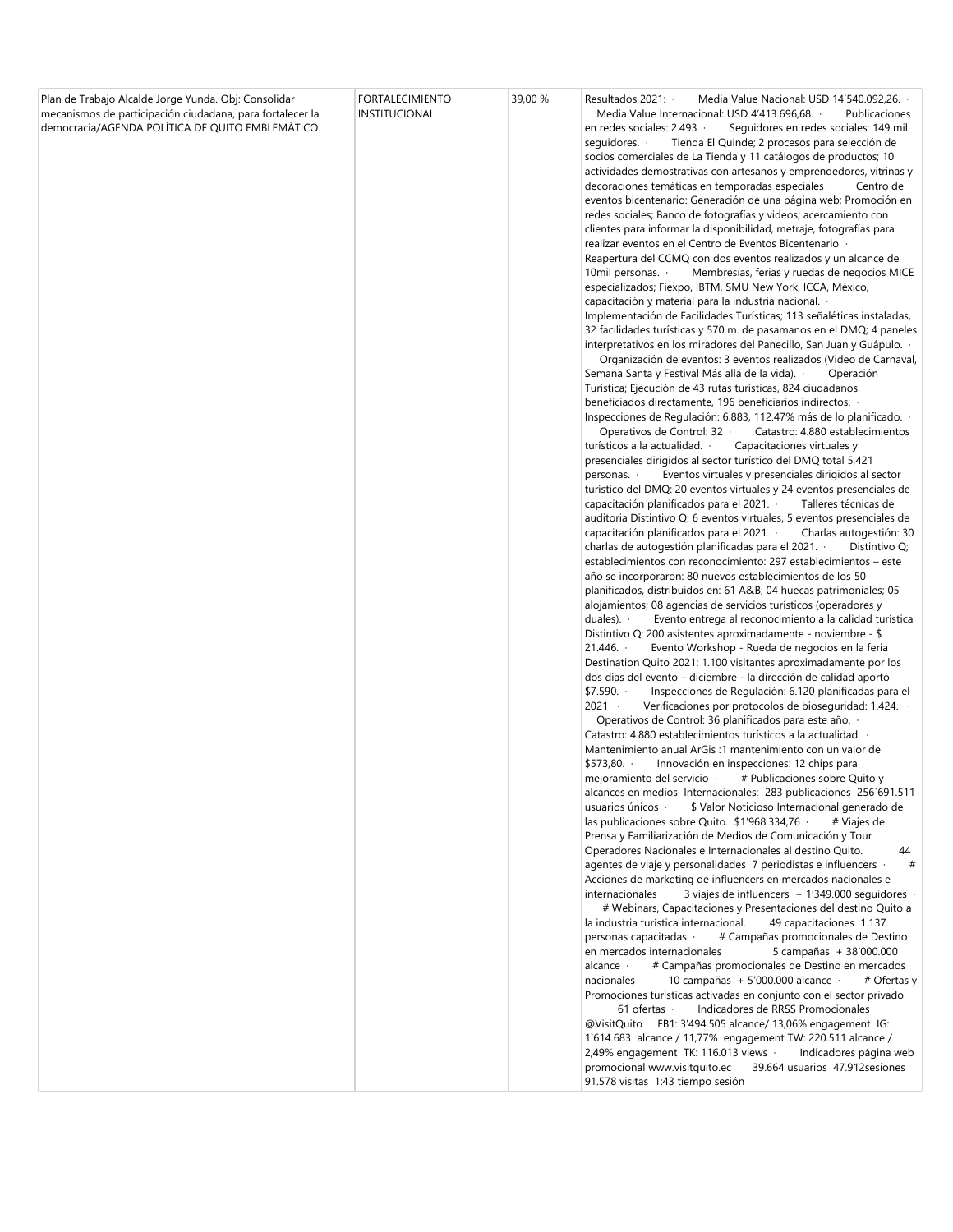| Plan de Trabajo Alcalde Jorge Yunda. Obj: Consolidar<br>mecanismos de participación ciudadana, para fortalecer la<br>democracia/AGENDA POLÍTICA DE QUITO EMBLEMÁTICO | <b>FORTALECIMIENTO</b><br>INSTITUCIONAL | 39,00 % | Resultados 2021: ·<br>Media Value Nacional: USD 14'540.092,26. .<br>Media Value Internacional: USD 4'413.696,68. .<br>Publicaciones<br>en redes sociales: 2.493 ·<br>Seguidores en redes sociales: 149 mil<br>sequidores. $\cdot$<br>Tienda El Quinde; 2 procesos para selección de<br>socios comerciales de La Tienda y 11 catálogos de productos; 10<br>actividades demostrativas con artesanos y emprendedores, vitrinas y<br>decoraciones temáticas en temporadas especiales ·<br>Centro de<br>eventos bicentenario: Generación de una página web; Promoción en<br>redes sociales; Banco de fotografías y videos; acercamiento con<br>clientes para informar la disponibilidad, metraje, fotografías para<br>realizar eventos en el Centro de Eventos Bicentenario<br>Reapertura del CCMQ con dos eventos realizados y un alcance de<br>10mil personas. $\cdot$<br>Membresías, ferias y ruedas de negocios MICE<br>especializados; Fiexpo, IBTM, SMU New York, ICCA, México,<br>capacitación y material para la industria nacional. ·<br>Implementación de Facilidades Turísticas; 113 señaléticas instaladas,<br>32 facilidades turísticas y 570 m. de pasamanos en el DMQ; 4 paneles<br>interpretativos en los miradores del Panecillo, San Juan y Guápulo.<br>Organización de eventos: 3 eventos realizados (Video de Carnaval,<br>Semana Santa y Festival Más allá de la vida). ·<br>Operación<br>Turística; Ejecución de 43 rutas turísticas, 824 ciudadanos<br>beneficiados directamente, 196 beneficiarios indirectos. ·<br>Inspecciones de Regulación: 6.883, 112.47% más de lo planificado. ·<br>Operativos de Control: 32 ·<br>Catastro: 4.880 establecimientos<br>turísticos a la actualidad. ·<br>Capacitaciones virtuales y<br>presenciales dirigidos al sector turístico del DMQ total 5,421<br>Eventos virtuales y presenciales dirigidos al sector<br>personas. ·<br>turístico del DMQ: 20 eventos virtuales y 24 eventos presenciales de<br>capacitación planificados para el 2021. ·<br>Talleres técnicas de<br>auditoria Distintivo Q: 6 eventos virtuales, 5 eventos presenciales de<br>capacitación planificados para el 2021. ·<br>Charlas autogestión: 30<br>charlas de autogestión planificadas para el 2021. ·<br>Distintivo Q;<br>establecimientos con reconocimiento: 297 establecimientos – este<br>año se incorporaron: 80 nuevos establecimientos de los 50<br>planificados, distribuidos en: 61 A&B 04 huecas patrimoniales; 05<br>alojamientos; 08 agencias de servicios turísticos (operadores y<br>duales). $\cdot$<br>Evento entrega al reconocimiento a la calidad turística<br>Distintivo Q: 200 asistentes aproximadamente - noviembre - \$<br>21.446.<br>Evento Workshop - Rueda de negocios en la feria<br>Destination Quito 2021: 1.100 visitantes aproximadamente por los<br>dos días del evento – diciembre - la dirección de calidad aportó<br>\$7.590.<br>Inspecciones de Regulación: 6.120 planificadas para el<br>$2021 -$<br>Verificaciones por protocolos de bioseguridad: 1.424. ·<br>Operativos de Control: 36 planificados para este año. ·<br>Catastro: 4.880 establecimientos turísticos a la actualidad. ·<br>Mantenimiento anual ArGis: 1 mantenimiento con un valor de<br>\$573,80.<br>Innovación en inspecciones: 12 chips para<br>mejoramiento del servicio ·<br># Publicaciones sobre Quito y<br>alcances en medios Internacionales: 283 publicaciones 256'691.511<br>usuarios únicos ·<br>\$ Valor Noticioso Internacional generado de<br>las publicaciones sobre Quito. \$1'968.334,76 ·<br># Viajes de<br>Prensa y Familiarización de Medios de Comunicación y Tour<br>Operadores Nacionales e Internacionales al destino Quito.<br>44<br>agentes de viaje y personalidades 7 periodistas e influencers ·<br>#<br>Acciones de marketing de influencers en mercados nacionales e<br>internacionales<br>3 viajes de influencers + $1'349.000$ seguidores $\cdot$<br># Webinars, Capacitaciones y Presentaciones del destino Quito a<br>la industria turística internacional.<br>49 capacitaciones 1.137 |
|----------------------------------------------------------------------------------------------------------------------------------------------------------------------|-----------------------------------------|---------|--------------------------------------------------------------------------------------------------------------------------------------------------------------------------------------------------------------------------------------------------------------------------------------------------------------------------------------------------------------------------------------------------------------------------------------------------------------------------------------------------------------------------------------------------------------------------------------------------------------------------------------------------------------------------------------------------------------------------------------------------------------------------------------------------------------------------------------------------------------------------------------------------------------------------------------------------------------------------------------------------------------------------------------------------------------------------------------------------------------------------------------------------------------------------------------------------------------------------------------------------------------------------------------------------------------------------------------------------------------------------------------------------------------------------------------------------------------------------------------------------------------------------------------------------------------------------------------------------------------------------------------------------------------------------------------------------------------------------------------------------------------------------------------------------------------------------------------------------------------------------------------------------------------------------------------------------------------------------------------------------------------------------------------------------------------------------------------------------------------------------------------------------------------------------------------------------------------------------------------------------------------------------------------------------------------------------------------------------------------------------------------------------------------------------------------------------------------------------------------------------------------------------------------------------------------------------------------------------------------------------------------------------------------------------------------------------------------------------------------------------------------------------------------------------------------------------------------------------------------------------------------------------------------------------------------------------------------------------------------------------------------------------------------------------------------------------------------------------------------------------------------------------------------------------------------------------------------------------------------------------------------------------------------------------------------------------------------------------------------------------------------------------------------------------------------------------------------------------------------------------------------------------------------------------------------------------------------------------------------------------------------------------------------------------------------------------------------------------------------------------------------------------------------------------------------------------------------------------------------------------------------------------------------------------------------------------------------------------------------------------------------------------------------------------------------------------|
|                                                                                                                                                                      |                                         |         |                                                                                                                                                                                                                                                                                                                                                                                                                                                                                                                                                                                                                                                                                                                                                                                                                                                                                                                                                                                                                                                                                                                                                                                                                                                                                                                                                                                                                                                                                                                                                                                                                                                                                                                                                                                                                                                                                                                                                                                                                                                                                                                                                                                                                                                                                                                                                                                                                                                                                                                                                                                                                                                                                                                                                                                                                                                                                                                                                                                                                                                                                                                                                                                                                                                                                                                                                                                                                                                                                                                                                                                                                                                                                                                                                                                                                                                                                                                                                                                                                                                                          |
|                                                                                                                                                                      |                                         |         | personas capacitadas ·<br># Campañas promocionales de Destino<br>en mercados internacionales<br>5 campañas + 38'000.000<br># Campañas promocionales de Destino en mercados<br>alcance ·<br>nacionales<br>10 campañas + 5'000.000 alcance $\cdot$<br># Ofertas y<br>Promociones turísticas activadas en conjunto con el sector privado<br>Indicadores de RRSS Promocionales<br>$61$ ofertas $\cdot$<br>@VisitQuito FB1: 3'494.505 alcance/ 13,06% engagement IG:<br>1`614.683 alcance / 11,77% engagement TW: 220.511 alcance /<br>2,49% engagement TK: 116.013 views $\cdot$<br>Indicadores página web<br>promocional www.visitquito.ec<br>39.664 usuarios 47.912 sesiones<br>91.578 visitas 1:43 tiempo sesión                                                                                                                                                                                                                                                                                                                                                                                                                                                                                                                                                                                                                                                                                                                                                                                                                                                                                                                                                                                                                                                                                                                                                                                                                                                                                                                                                                                                                                                                                                                                                                                                                                                                                                                                                                                                                                                                                                                                                                                                                                                                                                                                                                                                                                                                                                                                                                                                                                                                                                                                                                                                                                                                                                                                                                                                                                                                                                                                                                                                                                                                                                                                                                                                                                                                                                                                                          |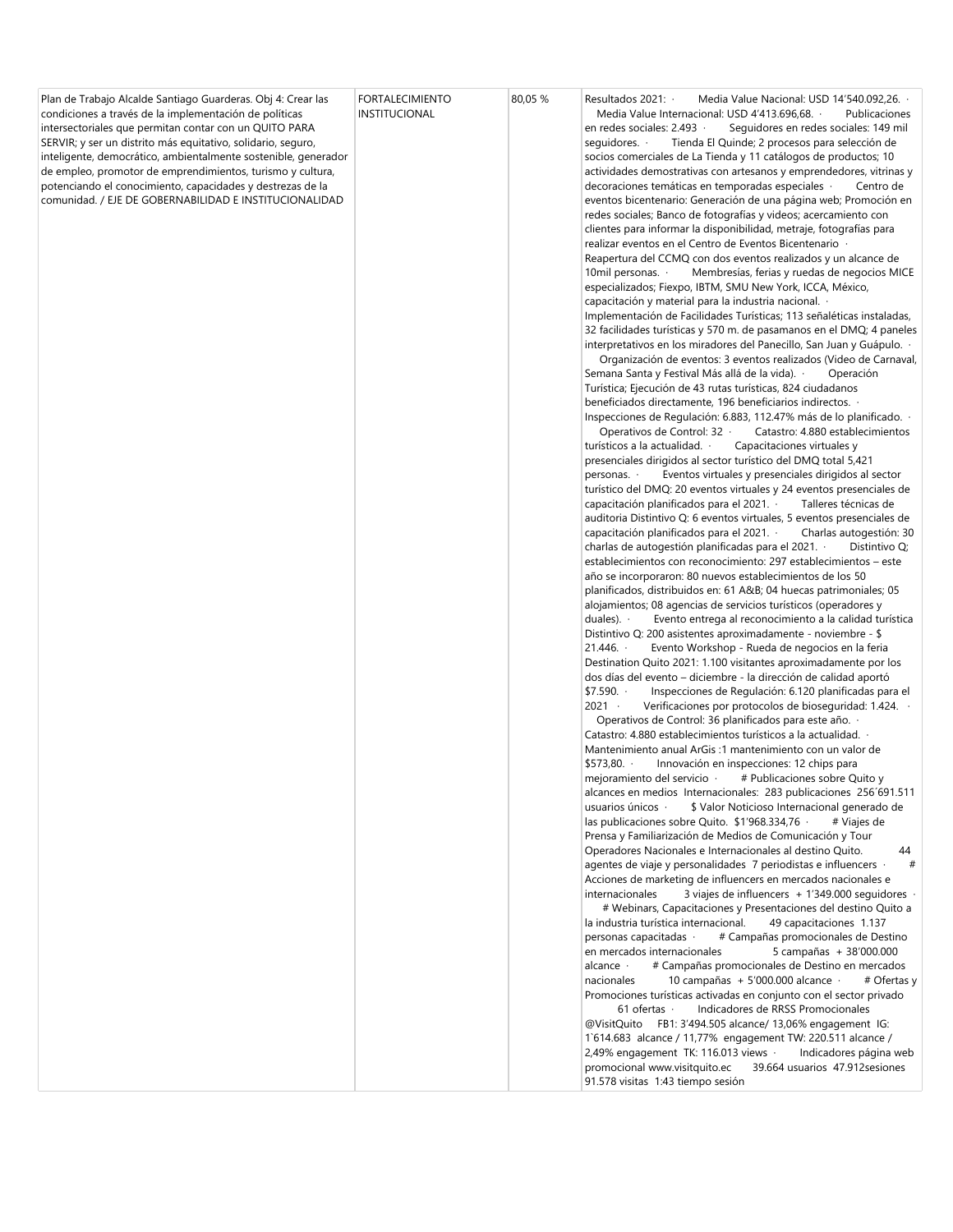| promocional www.visitquito.ec<br>39.664 usuarios 47.912 sesiones | Plan de Trabajo Alcalde Santiago Guarderas. Obj 4: Crear las<br>condiciones a través de la implementación de políticas<br>intersectoriales que permitan contar con un QUITO PARA<br>SERVIR; y ser un distrito más equitativo, solidario, seguro,<br>inteligente, democrático, ambientalmente sostenible, generador<br>de empleo, promotor de emprendimientos, turismo y cultura,<br>potenciando el conocimiento, capacidades y destrezas de la<br>comunidad. / EJE DE GOBERNABILIDAD E INSTITUCIONALIDAD | <b>FORTALECIMIENTO</b><br>INSTITUCIONAL | 80,05 % | Resultados 2021: ·<br>Media Value Nacional: USD 14'540.092,26.<br>Media Value Internacional: USD 4'413.696,68. .<br>Publicaciones<br>en redes sociales: 2.493 ·<br>Seguidores en redes sociales: 149 mil<br>sequidores. ·<br>Tienda El Quinde; 2 procesos para selección de<br>socios comerciales de La Tienda y 11 catálogos de productos; 10<br>actividades demostrativas con artesanos y emprendedores, vitrinas y<br>decoraciones temáticas en temporadas especiales ·<br>Centro de<br>eventos bicentenario: Generación de una página web; Promoción en<br>redes sociales; Banco de fotografías y videos; acercamiento con<br>clientes para informar la disponibilidad, metraje, fotografías para<br>realizar eventos en el Centro de Eventos Bicentenario<br>Reapertura del CCMQ con dos eventos realizados y un alcance de<br>10mil personas. $\cdot$<br>Membresías, ferias y ruedas de negocios MICE<br>especializados; Fiexpo, IBTM, SMU New York, ICCA, México,<br>capacitación y material para la industria nacional. ·<br>Implementación de Facilidades Turísticas; 113 señaléticas instaladas,<br>32 facilidades turísticas y 570 m. de pasamanos en el DMQ; 4 paneles<br>interpretativos en los miradores del Panecillo, San Juan y Guápulo. ·<br>Organización de eventos: 3 eventos realizados (Video de Carnaval,<br>Semana Santa y Festival Más allá de la vida). ·<br>Operación<br>Turística; Ejecución de 43 rutas turísticas, 824 ciudadanos<br>beneficiados directamente, 196 beneficiarios indirectos.<br>Inspecciones de Regulación: 6.883, 112.47% más de lo planificado. ·<br>Operativos de Control: 32 ·<br>Catastro: 4.880 establecimientos<br>turísticos a la actualidad. ·<br>Capacitaciones virtuales y<br>presenciales dirigidos al sector turístico del DMQ total 5,421<br>Eventos virtuales y presenciales dirigidos al sector<br>personas. ·<br>turístico del DMQ: 20 eventos virtuales y 24 eventos presenciales de<br>capacitación planificados para el 2021. Talleres técnicas de<br>auditoria Distintivo Q: 6 eventos virtuales, 5 eventos presenciales de<br>capacitación planificados para el 2021. ·<br>Charlas autogestión: 30<br>charlas de autogestión planificadas para el 2021. $\cdot$<br>Distintivo Q;<br>establecimientos con reconocimiento: 297 establecimientos – este<br>año se incorporaron: 80 nuevos establecimientos de los 50<br>planificados, distribuidos en: 61 A&B 04 huecas patrimoniales; 05<br>alojamientos; 08 agencias de servicios turísticos (operadores y<br>duales). $\cdot$<br>Evento entrega al reconocimiento a la calidad turística<br>Distintivo Q: 200 asistentes aproximadamente - noviembre - \$<br>21.446.<br>Evento Workshop - Rueda de negocios en la feria<br>Destination Quito 2021: 1.100 visitantes aproximadamente por los<br>dos días del evento – diciembre - la dirección de calidad aportó<br>\$7.590.<br>Inspecciones de Regulación: 6.120 planificadas para el<br>$2021 -$<br>Verificaciones por protocolos de bioseguridad: 1.424.<br>Operativos de Control: 36 planificados para este año. ·<br>Catastro: 4.880 establecimientos turísticos a la actualidad.<br>Mantenimiento anual ArGis: 1 mantenimiento con un valor de<br>\$573,80.<br>Innovación en inspecciones: 12 chips para<br># Publicaciones sobre Quito y<br>mejoramiento del servicio ·<br>alcances en medios Internacionales: 283 publicaciones 256'691.511<br>\$ Valor Noticioso Internacional generado de<br>usuarios únicos $\cdot$<br>las publicaciones sobre Quito. \$1'968.334,76 ·<br># Viajes de<br>Prensa y Familiarización de Medios de Comunicación y Tour<br>Operadores Nacionales e Internacionales al destino Quito.<br>44<br>agentes de viaje y personalidades 7 periodistas e influencers ·<br>#<br>Acciones de marketing de influencers en mercados nacionales e<br>internacionales<br>3 viajes de influencers + 1'349.000 seguidores ·<br># Webinars, Capacitaciones y Presentaciones del destino Quito a<br>la industria turística internacional.<br>49 capacitaciones 1.137<br>personas capacitadas ·<br># Campañas promocionales de Destino<br>en mercados internacionales<br>5 campañas + 38'000.000<br># Campañas promocionales de Destino en mercados<br>alcance $\cdot$<br>nacionales<br>10 campañas + 5'000.000 alcance $\cdot$<br># Ofertas y<br>Promociones turísticas activadas en conjunto con el sector privado<br>61 of ertas $\cdot$<br>Indicadores de RRSS Promocionales<br>@VisitQuito FB1: 3'494.505 alcance/ 13,06% engagement IG:<br>1`614.683 alcance / 11,77% engagement TW: 220.511 alcance /<br>2,49% engagement TK: 116.013 views $\cdot$<br>Indicadores página web |
|------------------------------------------------------------------|----------------------------------------------------------------------------------------------------------------------------------------------------------------------------------------------------------------------------------------------------------------------------------------------------------------------------------------------------------------------------------------------------------------------------------------------------------------------------------------------------------|-----------------------------------------|---------|----------------------------------------------------------------------------------------------------------------------------------------------------------------------------------------------------------------------------------------------------------------------------------------------------------------------------------------------------------------------------------------------------------------------------------------------------------------------------------------------------------------------------------------------------------------------------------------------------------------------------------------------------------------------------------------------------------------------------------------------------------------------------------------------------------------------------------------------------------------------------------------------------------------------------------------------------------------------------------------------------------------------------------------------------------------------------------------------------------------------------------------------------------------------------------------------------------------------------------------------------------------------------------------------------------------------------------------------------------------------------------------------------------------------------------------------------------------------------------------------------------------------------------------------------------------------------------------------------------------------------------------------------------------------------------------------------------------------------------------------------------------------------------------------------------------------------------------------------------------------------------------------------------------------------------------------------------------------------------------------------------------------------------------------------------------------------------------------------------------------------------------------------------------------------------------------------------------------------------------------------------------------------------------------------------------------------------------------------------------------------------------------------------------------------------------------------------------------------------------------------------------------------------------------------------------------------------------------------------------------------------------------------------------------------------------------------------------------------------------------------------------------------------------------------------------------------------------------------------------------------------------------------------------------------------------------------------------------------------------------------------------------------------------------------------------------------------------------------------------------------------------------------------------------------------------------------------------------------------------------------------------------------------------------------------------------------------------------------------------------------------------------------------------------------------------------------------------------------------------------------------------------------------------------------------------------------------------------------------------------------------------------------------------------------------------------------------------------------------------------------------------------------------------------------------------------------------------------------------------------------------------------------------------------------------------------------------------------------------------------------------------------------------------------------------------------------------------------------------------------------------------------------------------------------------------------------------------------------------------------------------------------------------------------------------------------------------------------------------------------------------------------------------------------------------------------------------------------------------------------------------------------------------------------------------------------------------------------------------------------------------------------------------------------------|
|------------------------------------------------------------------|----------------------------------------------------------------------------------------------------------------------------------------------------------------------------------------------------------------------------------------------------------------------------------------------------------------------------------------------------------------------------------------------------------------------------------------------------------------------------------------------------------|-----------------------------------------|---------|----------------------------------------------------------------------------------------------------------------------------------------------------------------------------------------------------------------------------------------------------------------------------------------------------------------------------------------------------------------------------------------------------------------------------------------------------------------------------------------------------------------------------------------------------------------------------------------------------------------------------------------------------------------------------------------------------------------------------------------------------------------------------------------------------------------------------------------------------------------------------------------------------------------------------------------------------------------------------------------------------------------------------------------------------------------------------------------------------------------------------------------------------------------------------------------------------------------------------------------------------------------------------------------------------------------------------------------------------------------------------------------------------------------------------------------------------------------------------------------------------------------------------------------------------------------------------------------------------------------------------------------------------------------------------------------------------------------------------------------------------------------------------------------------------------------------------------------------------------------------------------------------------------------------------------------------------------------------------------------------------------------------------------------------------------------------------------------------------------------------------------------------------------------------------------------------------------------------------------------------------------------------------------------------------------------------------------------------------------------------------------------------------------------------------------------------------------------------------------------------------------------------------------------------------------------------------------------------------------------------------------------------------------------------------------------------------------------------------------------------------------------------------------------------------------------------------------------------------------------------------------------------------------------------------------------------------------------------------------------------------------------------------------------------------------------------------------------------------------------------------------------------------------------------------------------------------------------------------------------------------------------------------------------------------------------------------------------------------------------------------------------------------------------------------------------------------------------------------------------------------------------------------------------------------------------------------------------------------------------------------------------------------------------------------------------------------------------------------------------------------------------------------------------------------------------------------------------------------------------------------------------------------------------------------------------------------------------------------------------------------------------------------------------------------------------------------------------------------------------------------------------------------------------------------------------------------------------------------------------------------------------------------------------------------------------------------------------------------------------------------------------------------------------------------------------------------------------------------------------------------------------------------------------------------------------------------------------------------------------------------------------------------------------------------|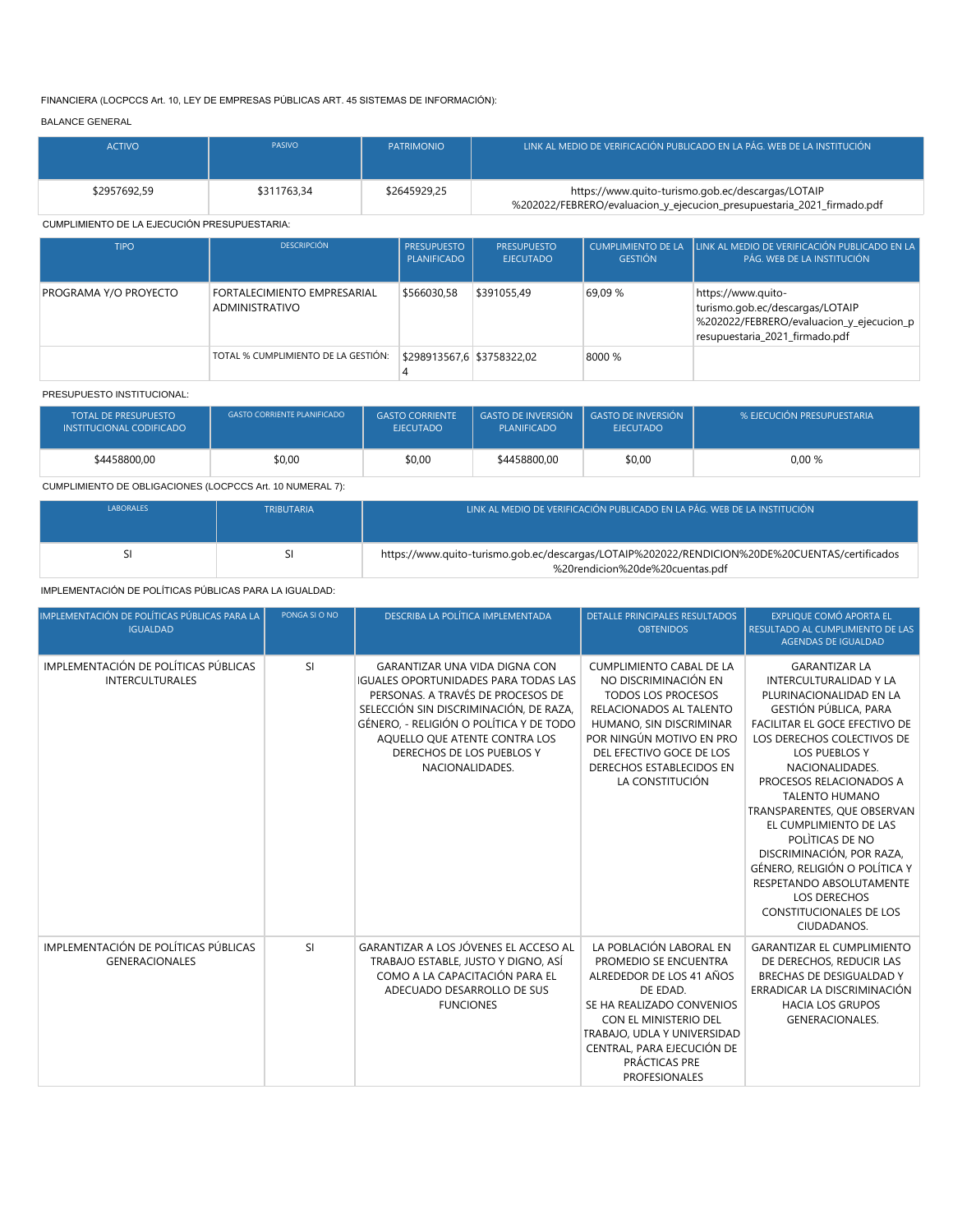## FINANCIERA (LOCPCCS Art. 10, LEY DE EMPRESAS PÚBLICAS ART. 45 SISTEMAS DE INFORMACIÓN):

## BALANCE GENERAL

| <b>ACTIVO</b> | <b>PASIVO</b> | <b>PATRIMONIO</b> | LLINK AL MEDIO DE VERIFICACIÓN PUBLICADO EN LA PÁG. WEB DE LA INSTITUCIÓN                                                   |
|---------------|---------------|-------------------|-----------------------------------------------------------------------------------------------------------------------------|
| \$2957692.59  | \$311763.34   | \$2645929.25      | https://www.quito-turismo.gob.ec/descargas/LOTAIP<br>%202022/FEBRERO/evaluacion_y_ejecucion_presupuestaria_2021_firmado.pdf |

## CUMPLIMIENTO DE LA EJECUCIÓN PRESUPUESTARIA:

| <b>TIPO</b>           | <b>DESCRIPCIÓN</b>                            | <b>PRESUPUESTO</b><br><b>PLANIFICADO</b> | <b>PRESUPUESTO</b><br><b>EJECUTADO</b> | <b>GESTIÓN</b> | CUMPLIMIENTO DE LA LUNK AL MEDIO DE VERIFICACIÓN PUBLICADO EN LA<br>PÁG. WEB DE LA INSTITUCIÓN                                      |
|-----------------------|-----------------------------------------------|------------------------------------------|----------------------------------------|----------------|-------------------------------------------------------------------------------------------------------------------------------------|
| PROGRAMA Y/O PROYECTO | FORTALECIMIENTO EMPRESARIAL<br>ADMINISTRATIVO | \$566030,58                              | \$391055.49                            | 69.09 %        | https://www.quito-<br>turismo.gob.ec/descargas/LOTAIP<br>%202022/FEBRERO/evaluacion_y_ejecucion_p<br>resupuestaria_2021_firmado.pdf |
|                       | TOTAL % CUMPLIMIENTO DE LA GESTIÓN:           | \$298913567,6 \$3758322,02               |                                        | 8000 %         |                                                                                                                                     |

#### PRESUPUESTO INSTITUCIONAL:

| <b>TOTAL DE PRESUPUESTO</b><br>INSTITUCIONAL CODIFICADO | <b>GASTO CORRIENTE PLANIFICADO</b> | <b>GASTO CORRIENTE</b><br><b>EJECUTADO</b> | <b>GASTO DE INVERSIÓN</b><br><b>PLANIFICADO</b> | <b>GASTO DE INVERSIÓN</b><br><b>EJECUTADO</b> | % EJECUCIÓN PRESUPUESTARIA |
|---------------------------------------------------------|------------------------------------|--------------------------------------------|-------------------------------------------------|-----------------------------------------------|----------------------------|
| \$4458800.00                                            | \$0,00                             | \$0,00                                     | \$4458800,00                                    | \$0,00                                        | 0,00%                      |

## CUMPLIMIENTO DE OBLIGACIONES (LOCPCCS Art. 10 NUMERAL 7):

| <b>LABORALES</b> | <b>TRIBUTARIA</b> | LINK AL MEDIO DE VERIFICACIÓN PUBLICADO EN LA PÁG. WEB DE LA INSTITUCIÓN <sup>1</sup>                                             |
|------------------|-------------------|-----------------------------------------------------------------------------------------------------------------------------------|
|                  |                   |                                                                                                                                   |
|                  |                   | https://www.quito-turismo.gob.ec/descargas/LOTAIP%202022/RENDICION%20DE%20CUENTAS/certificados<br>%20rendicion%20de%20cuentas.pdf |

IMPLEMENTACIÓN DE POLÍTICAS PÚBLICAS PARA LA IGUALDAD:

| IMPLEMENTACIÓN DE POLÍTICAS PÚBLICAS PARA LA<br><b>IGUALDAD</b> | PONGA SI O NO | DESCRIBA LA POLÍTICA IMPLEMENTADA                                                                                                                                                                                                                                                              | <b>DETALLE PRINCIPALES RESULTADOS</b><br><b>OBTENIDOS</b>                                                                                                                                                                                            | <b>EXPLIQUE COMÓ APORTA EL</b><br>RESULTADO AL CUMPLIMIENTO DE LAS<br><b>AGENDAS DE IGUALDAD</b>                                                                                                                                                                                                                                                                                                                                                                                                                      |
|-----------------------------------------------------------------|---------------|------------------------------------------------------------------------------------------------------------------------------------------------------------------------------------------------------------------------------------------------------------------------------------------------|------------------------------------------------------------------------------------------------------------------------------------------------------------------------------------------------------------------------------------------------------|-----------------------------------------------------------------------------------------------------------------------------------------------------------------------------------------------------------------------------------------------------------------------------------------------------------------------------------------------------------------------------------------------------------------------------------------------------------------------------------------------------------------------|
| IMPLEMENTACIÓN DE POLÍTICAS PÚBLICAS<br><b>INTERCULTURALES</b>  | <b>SI</b>     | <b>GARANTIZAR UNA VIDA DIGNA CON</b><br><b>IGUALES OPORTUNIDADES PARA TODAS LAS</b><br>PERSONAS. A TRAVÉS DE PROCESOS DE<br>SELECCIÓN SIN DISCRIMINACIÓN. DE RAZA.<br>GÉNERO, - RELIGIÓN O POLÍTICA Y DE TODO<br>AQUELLO QUE ATENTE CONTRA LOS<br>DERECHOS DE LOS PUEBLOS Y<br>NACIONALIDADES. | <b>CUMPLIMIENTO CABAL DE LA</b><br>NO DISCRIMINACIÓN EN<br><b>TODOS LOS PROCESOS</b><br>RELACIONADOS AL TALENTO<br>HUMANO, SIN DISCRIMINAR<br>POR NINGÚN MOTIVO EN PRO<br>DEL EFECTIVO GOCE DE LOS<br>DERECHOS ESTABLECIDOS EN<br>LA CONSTITUCIÓN    | <b>GARANTIZAR LA</b><br><b>INTERCULTURALIDAD Y LA</b><br>PLURINACIONALIDAD EN LA<br><b>GESTIÓN PÚBLICA, PARA</b><br><b>FACILITAR EL GOCE EFECTIVO DE</b><br>LOS DERECHOS COLECTIVOS DE<br><b>LOS PUEBLOS Y</b><br>NACIONALIDADES.<br>PROCESOS RELACIONADOS A<br><b>TALENTO HUMANO</b><br>TRANSPARENTES, QUE OBSERVAN<br>EL CUMPLIMIENTO DE LAS<br>POLITICAS DE NO<br>DISCRIMINACIÓN, POR RAZA,<br>GÉNERO, RELIGIÓN O POLÍTICA Y<br>RESPETANDO ABSOLUTAMENTE<br>LOS DERECHOS<br>CONSTITUCIONALES DE LOS<br>CIUDADANOS. |
| IMPLEMENTACIÓN DE POLÍTICAS PÚBLICAS<br><b>GENERACIONALES</b>   | <b>SI</b>     | GARANTIZAR A LOS JÓVENES EL ACCESO AL<br>TRABAJO ESTABLE, JUSTO Y DIGNO, ASÍ<br>COMO A LA CAPACITACIÓN PARA EL<br>ADECUADO DESARROLLO DE SUS<br><b>FUNCIONES</b>                                                                                                                               | LA POBLACIÓN LABORAL EN<br>PROMEDIO SE ENCUENTRA<br>ALREDEDOR DE LOS 41 AÑOS<br>DE EDAD.<br>SE HA REALIZADO CONVENIOS<br>CON EL MINISTERIO DEL<br>TRABAJO, UDLA Y UNIVERSIDAD<br>CENTRAL, PARA EJECUCIÓN DE<br>PRÁCTICAS PRE<br><b>PROFESIONALES</b> | <b>GARANTIZAR EL CUMPLIMIENTO</b><br>DE DERECHOS, REDUCIR LAS<br>BRECHAS DE DESIGUALDAD Y<br>ERRADICAR LA DISCRIMINACIÓN<br><b>HACIA LOS GRUPOS</b><br><b>GENERACIONALES.</b>                                                                                                                                                                                                                                                                                                                                         |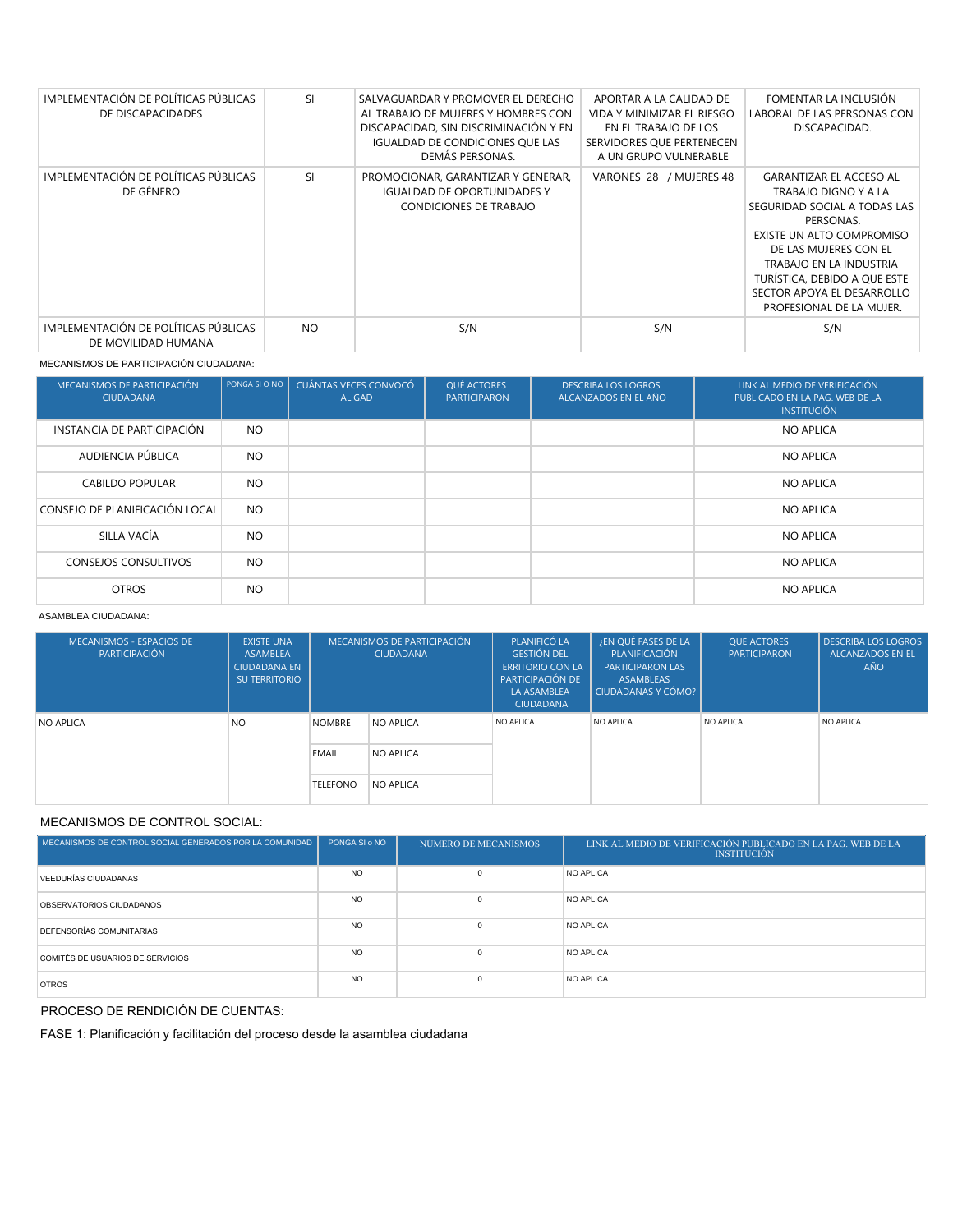| IMPLEMENTACIÓN DE POLÍTICAS PÚBLICAS<br>DE DISCAPACIDADES   | <b>SI</b> | SALVAGUARDAR Y PROMOVER EL DERECHO<br>AL TRABAJO DE MUJERES Y HOMBRES CON<br>DISCAPACIDAD. SIN DISCRIMINACIÓN Y EN<br><b>IGUALDAD DE CONDICIONES QUE LAS</b><br>DEMÁS PERSONAS. | APORTAR A LA CALIDAD DE<br>VIDA Y MINIMIZAR EL RIESGO<br>EN EL TRABAJO DE LOS<br>SERVIDORES OUE PERTENECEN<br>A UN GRUPO VULNERABLE | FOMENTAR LA INCLUSIÓN<br>LABORAL DE LAS PERSONAS CON<br>DISCAPACIDAD.                                                                                                                                                                                                          |
|-------------------------------------------------------------|-----------|---------------------------------------------------------------------------------------------------------------------------------------------------------------------------------|-------------------------------------------------------------------------------------------------------------------------------------|--------------------------------------------------------------------------------------------------------------------------------------------------------------------------------------------------------------------------------------------------------------------------------|
| IMPLEMENTACIÓN DE POLÍTICAS PÚBLICAS<br>DE GÉNERO           | <b>SI</b> | PROMOCIONAR, GARANTIZAR Y GENERAR,<br><b>IGUALDAD DE OPORTUNIDADES Y</b><br>CONDICIONES DE TRABAJO                                                                              | VARONES 28 / MUJERES 48                                                                                                             | <b>GARANTIZAR EL ACCESO AL</b><br>TRABAJO DIGNO Y A LA<br>SEGURIDAD SOCIAL A TODAS LAS<br>PERSONAS.<br>EXISTE UN ALTO COMPROMISO<br>DE LAS MUJERES CON EL<br>TRABAJO EN LA INDUSTRIA<br>TURÍSTICA, DEBIDO A QUE ESTE<br>SECTOR APOYA EL DESARROLLO<br>PROFESIONAL DE LA MUJER. |
| IMPLEMENTACIÓN DE POLÍTICAS PÚBLICAS<br>DE MOVILIDAD HUMANA | <b>NO</b> | S/N                                                                                                                                                                             | S/N                                                                                                                                 | S/N                                                                                                                                                                                                                                                                            |

#### MECANISMOS DE PARTICIPACIÓN CIUDADANA:

| MECANISMOS DE PARTICIPACIÓN<br><b>CIUDADANA</b> | PONGA SI O NO | CUÁNTAS VECES CONVOCÓ<br>AL GAD | QUÉ ACTORES<br><b>PARTICIPARON</b> | <b>DESCRIBA LOS LOGROS</b><br>ALCANZADOS EN EL AÑO | LINK AL MEDIO DE VERIFICACIÓN<br>PUBLICADO EN LA PAG. WEB DE LA<br><b>INSTITUCIÓN</b> |
|-------------------------------------------------|---------------|---------------------------------|------------------------------------|----------------------------------------------------|---------------------------------------------------------------------------------------|
| INSTANCIA DE PARTICIPACIÓN                      | NO.           |                                 |                                    |                                                    | <b>NO APLICA</b>                                                                      |
| AUDIENCIA PÚBLICA                               | NO.           |                                 |                                    |                                                    | <b>NO APLICA</b>                                                                      |
| <b>CABILDO POPULAR</b>                          | NO.           |                                 |                                    |                                                    | <b>NO APLICA</b>                                                                      |
| CONSEJO DE PLANIFICACIÓN LOCAL                  | NO.           |                                 |                                    |                                                    | <b>NO APLICA</b>                                                                      |
| SILLA VACÍA                                     | NO.           |                                 |                                    |                                                    | <b>NO APLICA</b>                                                                      |
| <b>CONSEJOS CONSULTIVOS</b>                     | NO.           |                                 |                                    |                                                    | <b>NO APLICA</b>                                                                      |
| <b>OTROS</b>                                    | NO.           |                                 |                                    |                                                    | <b>NO APLICA</b>                                                                      |

#### ASAMBLEA CIUDADANA:

| MECANISMOS - ESPACIOS DE<br>PARTICIPACIÓN | <b>EXISTE UNA</b><br><b>ASAMBLEA</b><br><b>CIUDADANA EN</b><br>SU TERRITORIO | MECANISMOS DE PARTICIPACIÓN<br><b>CIUDADANA</b> |           | PLANIFICÓ LA<br><b>GESTIÓN DEL</b><br><b>TERRITORIO CON LA</b><br>PARTICIPACIÓN DE<br>LA ASAMBLEA<br><b>CIUDADANA</b> | ¿EN QUÉ FASES DE LA<br>PLANIFICACIÓN<br><b>PARTICIPARON LAS</b><br>ASAMBLEAS<br>CIUDADANAS Y CÓMO? | <b>OUE ACTORES</b><br><b>PARTICIPARON</b> | <b>DESCRIBA LOS LOGROS</b><br><b>ALCANZADOS EN EL</b><br><b>AÑO</b> |
|-------------------------------------------|------------------------------------------------------------------------------|-------------------------------------------------|-----------|-----------------------------------------------------------------------------------------------------------------------|----------------------------------------------------------------------------------------------------|-------------------------------------------|---------------------------------------------------------------------|
| <b>NO APLICA</b>                          | N <sub>O</sub>                                                               | <b>NOMBRE</b>                                   | NO APLICA | NO APLICA                                                                                                             | NO APLICA                                                                                          | NO APLICA                                 | NO APLICA                                                           |
|                                           |                                                                              | EMAIL                                           | NO APLICA |                                                                                                                       |                                                                                                    |                                           |                                                                     |
|                                           |                                                                              | <b>TELEFONO</b>                                 | NO APLICA |                                                                                                                       |                                                                                                    |                                           |                                                                     |

## MECANISMOS DE CONTROL SOCIAL:

| MECANISMOS DE CONTROL SOCIAL GENERADOS POR LA COMUNIDAD | PONGA SI o NO | NÚMERO DE MECANISMOS | LINK AL MEDIO DE VERIFICACIÓN PUBLICADO EN LA PAG. WEB DE LA<br><b>INSTITUCIÓN</b> |
|---------------------------------------------------------|---------------|----------------------|------------------------------------------------------------------------------------|
| VEEDURÍAS CIUDADANAS                                    | <b>NO</b>     | $\Omega$             | NO APLICA                                                                          |
| OBSERVATORIOS CIUDADANOS                                | <b>NO</b>     | $\Omega$             | NO APLICA                                                                          |
| <b>DEFENSORÍAS COMUNITARIAS</b>                         | <b>NO</b>     | $\Omega$             | NO APLICA                                                                          |
| COMITÉS DE USUARIOS DE SERVICIOS                        | <b>NO</b>     | $\Omega$             | NO APLICA                                                                          |
| <b>OTROS</b>                                            | <b>NO</b>     | $\Omega$             | NO APLICA                                                                          |

## PROCESO DE RENDICIÓN DE CUENTAS:

FASE 1: Planificación y facilitación del proceso desde la asamblea ciudadana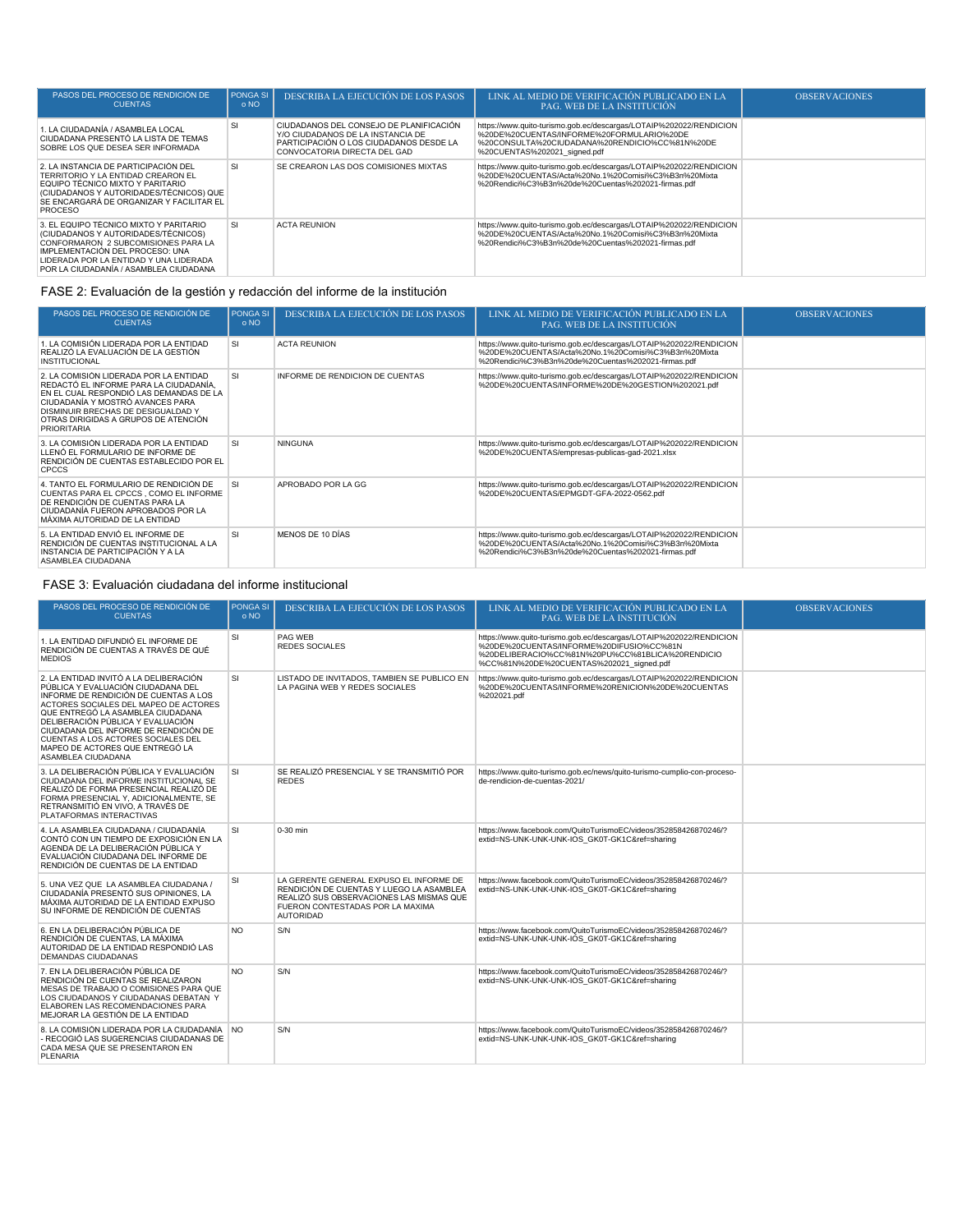| PASOS DEL PROCESO DE RENDICIÓN DE<br><b>CUENTAS</b>                                                                                                                                                                                         | <b>PONGA SI</b><br>o NO | DESCRIBA LA EJECUCIÓN DE LOS PASOS                                                                                                                      | LINK AL MEDIO DE VERIFICACIÓN PUBLICADO EN LA<br><b>PAG. WEB DE LA INSTITUCIÓN</b>                                                                                                                | <b>OBSERVACIONES</b> |
|---------------------------------------------------------------------------------------------------------------------------------------------------------------------------------------------------------------------------------------------|-------------------------|---------------------------------------------------------------------------------------------------------------------------------------------------------|---------------------------------------------------------------------------------------------------------------------------------------------------------------------------------------------------|----------------------|
| 1. LA CIUDADANÍA / ASAMBLEA LOCAL<br>CIUDADANA PRESENTÓ LA LISTA DE TEMAS<br>SOBRE LOS QUE DESEA SER INFORMADA                                                                                                                              | SI                      | CIUDADANOS DEL CONSEJO DE PLANIFICACIÓN<br>Y/O CIUDADANOS DE LA INSTANCIA DE<br>PARTICIPACIÓN O LOS CIUDADANOS DESDE LA<br>CONVOCATORIA DIRECTA DEL GAD | https://www.quito-turismo.gob.ec/descargas/LOTAIP%202022/RENDICION<br>%20DE%20CUENTAS/INFORME%20FORMULARIO%20DE<br>%20CONSULTA%20CIUDADANA%20RENDICIO%CC%81N%20DE<br>%20CUENTAS%202021 signed.pdf |                      |
| 2. LA INSTANCIA DE PARTICIPACIÓN DEL<br>TERRITORIO Y LA ENTIDAD CREARON EL<br>EQUIPO TÉCNICO MIXTO Y PARITARIO<br>(CIUDADANOS Y AUTORIDADES/TÉCNICOS) QUE<br>SE ENCARGARÁ DE ORGANIZAR Y FACILITAR EL<br><b>PROCESO</b>                     | <b>SI</b>               | SE CREARON LAS DOS COMISIONES MIXTAS                                                                                                                    | https://www.quito-turismo.gob.ec/descargas/LOTAIP%202022/RENDICION<br>%20DE%20CUENTAS/Acta%20No.1%20Comisi%C3%B3n%20Mixta<br>%20Rendici%C3%B3n%20de%20Cuentas%202021-firmas.pdf                   |                      |
| 3. EL EQUIPO TÉCNICO MIXTO Y PARITARIO<br>(CIUDADANOS Y AUTORIDADES/TÉCNICOS)<br>CONFORMARON 2 SUBCOMISIONES PARA LA<br>IMPLEMENTACIÓN DEL PROCESO: UNA<br>LIDERADA POR LA ENTIDAD Y UNA LIDERADA<br>POR LA CIUDADANÍA / ASAMBLEA CIUDADANA | <b>SI</b>               | <b>ACTA REUNION</b>                                                                                                                                     | https://www.quito-turismo.gob.ec/descargas/LOTAIP%202022/RENDICION<br>%20DE%20CUENTAS/Acta%20No.1%20Comisi%C3%B3n%20Mixta<br>%20Rendici%C3%B3n%20de%20Cuentas%202021-firmas.pdf                   |                      |

## FASE 2: Evaluación de la gestión y redacción del informe de la institución

| PASOS DEL PROCESO DE RENDICIÓN DE<br><b>CUENTAS</b>                                                                                                                                                                                                                 | <b>PONGA SI</b><br>0 NQ | DESCRIBA LA EJECUCIÓN DE LOS PASOS | LINK AL MEDIO DE VERIFICACIÓN PUBLICADO EN LA<br>PAG. WEB DE LA INSTITUCIÓN                                                                                                     | <b>OBSERVACIONES</b> |
|---------------------------------------------------------------------------------------------------------------------------------------------------------------------------------------------------------------------------------------------------------------------|-------------------------|------------------------------------|---------------------------------------------------------------------------------------------------------------------------------------------------------------------------------|----------------------|
| 1. LA COMISIÓN LIDERADA POR LA ENTIDAD<br>REALIZÓ LA EVALUACIÓN DE LA GESTIÓN<br><b>INSTITUCIONAL</b>                                                                                                                                                               | <b>SI</b>               | <b>ACTA REUNION</b>                | https://www.quito-turismo.gob.ec/descargas/LOTAIP%202022/RENDICION<br>%20DE%20CUENTAS/Acta%20No.1%20Comisi%C3%B3n%20Mixta<br>%20Rendici%C3%B3n%20de%20Cuentas%202021-firmas.pdf |                      |
| 2. LA COMISIÓN LIDERADA POR LA ENTIDAD<br>REDACTÓ EL INFORME PARA LA CIUDADANÍA.<br>EN EL CUAL RESPONDIÓ LAS DEMANDAS DE LA<br>CIUDADANÍA Y MOSTRÓ AVANCES PARA<br>DISMINUIR BRECHAS DE DESIGUALDAD Y<br>OTRAS DIRIGIDAS A GRUPOS DE ATENCIÓN<br><b>PRIORITARIA</b> | SI                      | INFORME DE RENDICION DE CUENTAS    | https://www.quito-turismo.gob.ec/descargas/LOTAIP%202022/RENDICION<br>%20DE%20CUENTAS/INFORME%20DE%20GESTION%202021.pdf                                                         |                      |
| 3. LA COMISIÓN LIDERADA POR LA ENTIDAD<br>LLENÓ EL FORMULARIO DE INFORME DE<br>RENDICIÓN DE CUENTAS ESTABLECIDO POR EL<br><b>CPCCS</b>                                                                                                                              | <b>SI</b>               | <b>NINGUNA</b>                     | https://www.quito-turismo.gob.ec/descargas/LOTAIP%202022/RENDICION<br>%20DE%20CUENTAS/empresas-publicas-gad-2021.xlsx                                                           |                      |
| 4. TANTO EL FORMULARIO DE RENDICIÓN DE<br>CUENTAS PARA EL CPCCS, COMO EL INFORME<br>DE RENDICIÓN DE CUENTAS PARA LA<br>CIUDADANÍA FUERON APROBADOS POR LA<br>MÁXIMA AUTORIDAD DE LA ENTIDAD                                                                         | <b>SI</b>               | APROBADO POR LA GG                 | https://www.quito-turismo.gob.ec/descargas/LOTAIP%202022/RENDICION<br>%20DE%20CUENTAS/EPMGDT-GFA-2022-0562.pdf                                                                  |                      |
| 5. LA ENTIDAD ENVIÓ EL INFORME DE<br>RENDICIÓN DE CUENTAS INSTITUCIONAL A LA<br>INSTANCIA DE PARTICIPACIÓN Y A LA<br>ASAMBLEA CIUDADANA                                                                                                                             | <b>SI</b>               | MENOS DE 10 DÍAS                   | https://www.quito-turismo.gob.ec/descargas/LOTAIP%202022/RENDICION<br>%20DE%20CUENTAS/Acta%20No.1%20Comisi%C3%B3n%20Mixta<br>%20Rendici%C3%B3n%20de%20Cuentas%202021-firmas.pdf |                      |

## FASE 3: Evaluación ciudadana del informe institucional

| PASOS DEL PROCESO DE RENDICIÓN DE<br><b>CUENTAS</b>                                                                                                                                                                                                                                                                                                                              | <b>PONGA SI</b><br>o NO | DESCRIBA LA EJECUCIÓN DE LOS PASOS                                                                                                                                                      | LINK AL MEDIO DE VERIFICACIÓN PUBLICADO EN LA<br><b>PAG. WEB DE LA INSTITUCIÓN</b>                                                                                                                             | <b>OBSERVACIONES</b> |
|----------------------------------------------------------------------------------------------------------------------------------------------------------------------------------------------------------------------------------------------------------------------------------------------------------------------------------------------------------------------------------|-------------------------|-----------------------------------------------------------------------------------------------------------------------------------------------------------------------------------------|----------------------------------------------------------------------------------------------------------------------------------------------------------------------------------------------------------------|----------------------|
| 1. LA ENTIDAD DIFUNDIÓ EL INFORME DE<br>RENDICIÓN DE CUENTAS A TRAVÉS DE QUÉ<br><b>MEDIOS</b>                                                                                                                                                                                                                                                                                    | SI                      | PAG WEB<br>REDES SOCIALES                                                                                                                                                               | https://www.quito-turismo.gob.ec/descargas/LOTAIP%202022/RENDICION<br>%20DE%20CUENTAS/INFORME%20DIFUSIO%CC%81N<br>%20DELIBERACIO%CC%81N%20PU%CC%81BLICA%20RENDICIO<br>%CC%81N%20DE%20CUENTAS%202021_signed.pdf |                      |
| 2. LA ENTIDAD INVITÓ A LA DELIBERACIÓN<br>PÚBLICA Y EVALUACIÓN CIUDADANA DEL<br>INFORME DE RENDICIÓN DE CUENTAS A LOS<br>ACTORES SOCIALES DEL MAPEO DE ACTORES<br>QUE ENTREGÓ LA ASAMBLEA CIUDADANA<br>DELIBERACIÓN PÚBLICA Y EVALUACIÓN<br>CIUDADANA DEL INFORME DE RENDICIÓN DE<br>CUENTAS A LOS ACTORES SOCIALES DEL<br>MAPEO DE ACTORES QUE ENTREGÓ LA<br>ASAMBLEA CIUDADANA | SI                      | LISTADO DE INVITADOS. TAMBIEN SE PUBLICO EN<br>LA PAGINA WEB Y REDES SOCIALES                                                                                                           | https://www.quito-turismo.gob.ec/descargas/LOTAIP%202022/RENDICION<br>%20DE%20CUENTAS/INFORME%20RENICION%20DE%20CUENTAS<br>%202021.pdf                                                                         |                      |
| 3. LA DELIBERACIÓN PÚBLICA Y EVALUACIÓN<br>CIUDADANA DEL INFORME INSTITUCIONAL SE<br>REALIZÓ DE FORMA PRESENCIAL REALIZÓ DE<br>FORMA PRESENCIAL Y, ADICIONALMENTE, SE<br>RETRANSMITIÓ EN VIVO. A TRAVÉS DE<br>PLATAFORMAS INTERACTIVAS                                                                                                                                           | <b>SI</b>               | SE REALIZÓ PRESENCIAL Y SE TRANSMITIÓ POR<br><b>REDES</b>                                                                                                                               | https://www.quito-turismo.gob.ec/news/quito-turismo-cumplio-con-proceso-<br>de-rendicion-de-cuentas-2021/                                                                                                      |                      |
| 4. LA ASAMBLEA CIUDADANA / CIUDADANÍA<br>CONTÓ CON UN TIEMPO DE EXPOSICIÓN EN LA<br>AGENDA DE LA DELIBERACIÓN PÚBLICA Y<br>EVALUACIÓN CIUDADANA DEL INFORME DE<br>RENDICIÓN DE CUENTAS DE LA ENTIDAD                                                                                                                                                                             | <b>SI</b>               | 0-30 min                                                                                                                                                                                | https://www.facebook.com/QuitoTurismoEC/videos/352858426870246/?<br>extid=NS-UNK-UNK-UNK-IOS GK0T-GK1C&ref=sharing                                                                                             |                      |
| 5. UNA VEZ QUE LA ASAMBLEA CIUDADANA /<br>CIUDADANÍA PRESENTÓ SUS OPINIONES. LA<br>MÁXIMA AUTORIDAD DE LA ENTIDAD EXPUSO<br>SU INFORME DE RENDICIÓN DE CUENTAS                                                                                                                                                                                                                   | SI                      | LA GERENTE GENERAL EXPUSO EL INFORME DE<br>RENDICIÓN DE CUENTAS Y LUEGO LA ASAMBLEA<br>REALIZÓ SUS OBSERVACIONES LAS MISMAS OUE<br>FUERON CONTESTADAS POR LA MAXIMA<br><b>AUTORIDAD</b> | https://www.facebook.com/QuitoTurismoEC/videos/352858426870246/?<br>extid=NS-UNK-UNK-UNK-IOS GK0T-GK1C&ref=sharing                                                                                             |                      |
| 6. EN LA DELIBERACIÓN PÚBLICA DE<br>RENDICIÓN DE CUENTAS. LA MÁXIMA<br>AUTORIDAD DE LA ENTIDAD RESPONDIÓ LAS<br><b>DEMANDAS CIUDADANAS</b>                                                                                                                                                                                                                                       | <b>NO</b>               | S/N                                                                                                                                                                                     | https://www.facebook.com/QuitoTurismoEC/videos/352858426870246/?<br>extid=NS-UNK-UNK-UNK-IOS GK0T-GK1C&ref=sharing                                                                                             |                      |
| 7. EN LA DELIBERACIÓN PÚBLICA DE<br>RENDICIÓN DE CUENTAS SE REALIZARON<br>MESAS DE TRABAJO O COMISIONES PARA QUE<br>LOS CIUDADANOS Y CIUDADANAS DEBATAN Y<br>ELABOREN LAS RECOMENDACIONES PARA<br>MEJORAR LA GESTIÓN DE LA ENTIDAD                                                                                                                                               | <b>NO</b>               | S/N                                                                                                                                                                                     | https://www.facebook.com/QuitoTurismoEC/videos/352858426870246/?<br>extid=NS-UNK-UNK-UNK-IOS GK0T-GK1C&ref=sharing                                                                                             |                      |
| 8. LA COMISIÓN LIDERADA POR LA CIUDADANÍA NO<br>- RECOGIÓ LAS SUGERENCIAS CIUDADANAS DE<br>CADA MESA QUE SE PRESENTARON EN<br>PLENARIA                                                                                                                                                                                                                                           |                         | S/N                                                                                                                                                                                     | https://www.facebook.com/QuitoTurismoEC/videos/352858426870246/?<br>extid=NS-UNK-UNK-UNK-IOS GK0T-GK1C&ref=sharing                                                                                             |                      |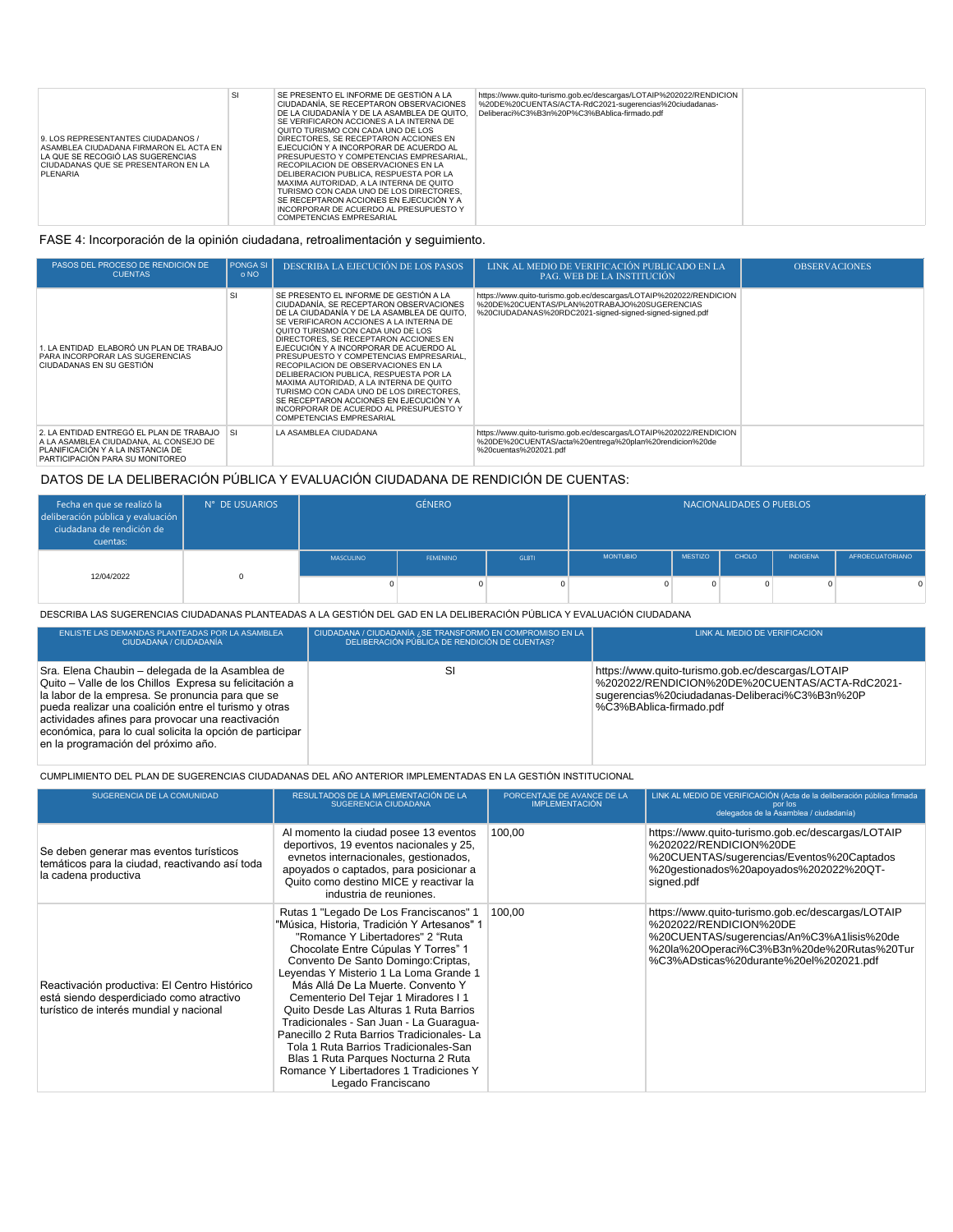| 9. LOS REPRESENTANTES CIUDADANOS /<br>ASAMBLEA CIUDADANA FIRMARON EL ACTA EN<br>LA QUE SE RECOGIÓ LAS SUGERENCIAS<br>CIUDADANAS QUE SE PRESENTARON EN LA<br><b>PLENARIA</b> | SI | SE PRESENTO EL INFORME DE GESTIÓN A LA<br>CIUDADANÍA. SE RECEPTARON OBSERVACIONES<br>DE LA CIUDADANÍA Y DE LA ASAMBLEA DE QUITO.<br>SE VERIFICARON ACCIONES A LA INTERNA DE<br>QUITO TURISMO CON CADA UNO DE LOS<br>DIRECTORES, SE RECEPTARON ACCIONES EN<br>EJECUCIÓN Y A INCORPORAR DE ACUERDO AL<br>PRESUPUESTO Y COMPETENCIAS EMPRESARIAL,<br>RECOPILACION DE OBSERVACIONES EN LA<br>DELIBERACION PUBLICA, RESPUESTA POR LA<br>MAXIMA AUTORIDAD. A LA INTERNA DE QUITO<br>TURISMO CON CADA UNO DE LOS DIRECTORES.<br>SE RECEPTARON ACCIONES EN EJECUCIÓN Y A<br>INCORPORAR DE ACUERDO AL PRESUPUESTO Y<br>COMPETENCIAS EMPRESARIAL | https://www.quito-turismo.gob.ec/descargas/LOTAIP%202022/RENDICION<br>%20DE%20CUENTAS/ACTA-RdC2021-sugerencias%20ciudadanas-<br>Deliberaci%C3%B3n%20P%C3%BAblica-firmado.pdf |  |
|-----------------------------------------------------------------------------------------------------------------------------------------------------------------------------|----|----------------------------------------------------------------------------------------------------------------------------------------------------------------------------------------------------------------------------------------------------------------------------------------------------------------------------------------------------------------------------------------------------------------------------------------------------------------------------------------------------------------------------------------------------------------------------------------------------------------------------------------|------------------------------------------------------------------------------------------------------------------------------------------------------------------------------|--|

## FASE 4: Incorporación de la opinión ciudadana, retroalimentación y seguimiento.

| PASOS DEL PROCESO DE RENDICIÓN DE<br><b>CUENTAS</b>                                                                                                           | <b>PONGA SI</b><br>o NO | DESCRIBA LA EJECUCIÓN DE LOS PASOS                                                                                                                                                                                                                                                                                                                                                                                                                                                                                                                                                                                                           | LINK AL MEDIO DE VERIFICACIÓN PUBLICADO EN LA<br>PAG. WEB DE LA INSTITUCIÓN                                                                                                   | <b>OBSERVACIONES</b> |
|---------------------------------------------------------------------------------------------------------------------------------------------------------------|-------------------------|----------------------------------------------------------------------------------------------------------------------------------------------------------------------------------------------------------------------------------------------------------------------------------------------------------------------------------------------------------------------------------------------------------------------------------------------------------------------------------------------------------------------------------------------------------------------------------------------------------------------------------------------|-------------------------------------------------------------------------------------------------------------------------------------------------------------------------------|----------------------|
| 1. LA ENTIDAD ELABORÓ UN PLAN DE TRABAJO<br>PARA INCORPORAR LAS SUGERENCIAS<br>CIUDADANAS EN SU GESTIÓN                                                       | <b>SI</b>               | SE PRESENTO EL INFORME DE GESTIÓN A LA<br>CIUDADANÍA. SE RECEPTARON OBSERVACIONES<br>DE LA CIUDADANÍA Y DE LA ASAMBLEA DE QUITO<br>SE VERIFICARON ACCIONES A LA INTERNA DE<br>QUITO TURISMO CON CADA UNO DE LOS<br>DIRECTORES. SE RECEPTARON ACCIONES EN<br>EJECUCIÓN Y A INCORPORAR DE ACUERDO AL<br>PRESUPUESTO Y COMPETENCIAS EMPRESARIAL.<br>RECOPILACION DE OBSERVACIONES EN LA<br>DELIBERACION PUBLICA. RESPUESTA POR LA<br>MAXIMA AUTORIDAD. A LA INTERNA DE QUITO<br>TURISMO CON CADA UNO DE LOS DIRECTORES.<br>SE RECEPTARON ACCIONES EN EJECUCIÓN Y A<br>INCORPORAR DE ACUERDO AL PRESUPUESTO Y<br><b>COMPETENCIAS EMPRESARIAL</b> | https://www.quito-turismo.gob.ec/descargas/LOTAIP%202022/RENDICION<br>%20DE%20CUENTAS/PLAN%20TRABAJO%20SUGERENCIAS<br>%20CIUDADANAS%20RDC2021-signed-signed-signed-signed.pdf |                      |
| 2. LA ENTIDAD ENTREGÓ EL PLAN DE TRABAJO SI<br>A LA ASAMBLEA CIUDADANA, AL CONSEJO DE<br>PLANIFICACIÓN Y A LA INSTANCIA DE<br>PARTICIPACIÓN PARA SU MONITOREO |                         | LA ASAMBLEA CIUDADANA                                                                                                                                                                                                                                                                                                                                                                                                                                                                                                                                                                                                                        | https://www.quito-turismo.gob.ec/descargas/LOTAIP%202022/RENDICION<br>%20DE%20CUENTAS/acta%20entrega%20plan%20rendicion%20de<br>%20cuentas%202021.pdf                         |                      |

## DATOS DE LA DELIBERACIÓN PÚBLICA Y EVALUACIÓN CIUDADANA DE RENDICIÓN DE CUENTAS:

| Fecha en que se realizó la<br>deliberación pública y evaluación<br>ciudadana de rendición de<br>cuentas: | N° DE USUARIOS | <b>GÉNERO</b> |                 |              | NACIONALIDADES O PUEBLOS |                |       |                 |                 |
|----------------------------------------------------------------------------------------------------------|----------------|---------------|-----------------|--------------|--------------------------|----------------|-------|-----------------|-----------------|
| 12/04/2022                                                                                               | <sup>n</sup>   | MASCULINO     | <b>FEMENINO</b> | <b>GLBTI</b> | <b>MONTUBIO</b>          | <b>MESTIZO</b> | CHOLO | <b>INDIGENA</b> | AFROECUATORIANO |
|                                                                                                          |                |               |                 |              |                          |                |       |                 | 0               |

DESCRIBA LAS SUGERENCIAS CIUDADANAS PLANTEADAS A LA GESTIÓN DEL GAD EN LA DELIBERACIÓN PÚBLICA Y EVALUACIÓN CIUDADANA

| ENLISTE LAS DEMANDAS PLANTEADAS POR LA ASAMBLEA<br>CIUDADANA / CIUDADANÍA                                                                                                                                                                                                                                                                                                      | CIUDADANA / CIUDADANÍA ¿SE TRANSFORMÓ EN COMPROMISO EN LA<br>DELIBERACIÓN PÚBLICA DE RENDICIÓN DE CUENTAS? | LINK AL MEDIO DE VERIFICACIÓN                                                                                                                                                    |
|--------------------------------------------------------------------------------------------------------------------------------------------------------------------------------------------------------------------------------------------------------------------------------------------------------------------------------------------------------------------------------|------------------------------------------------------------------------------------------------------------|----------------------------------------------------------------------------------------------------------------------------------------------------------------------------------|
| Sra. Elena Chaubin – delegada de la Asamblea de<br>Quito - Valle de los Chillos Expresa su felicitación a<br>la labor de la empresa. Se pronuncia para que se<br>pueda realizar una coalición entre el turismo y otras<br>actividades afines para provocar una reactivación<br>económica, para lo cual solicita la opción de participar<br>en la programación del próximo año. | SI                                                                                                         | https://www.quito-turismo.gob.ec/descargas/LOTAIP<br>%202022/RENDICION%20DE%20CUENTAS/ACTA-RdC2021-<br>sugerencias%20ciudadanas-Deliberaci%C3%B3n%20P<br>%C3%BAblica-firmado.pdf |

CUMPLIMIENTO DEL PLAN DE SUGERENCIAS CIUDADANAS DEL AÑO ANTERIOR IMPLEMENTADAS EN LA GESTIÓN INSTITUCIONAL

| SUGERENCIA DE LA COMUNIDAD                                                                                                          | RESULTADOS DE LA IMPLEMENTACIÓN DE LA<br><b>SUGERENCIA CIUDADANA</b>                                                                                                                                                                                                                                                                                                                                                                                                                                                                                                                                             | PORCENTAJE DE AVANCE DE LA<br><b>IMPLEMENTACIÓN</b> | LINK AL MEDIO DE VERIFICACIÓN (Acta de la deliberación pública firmada<br>por los<br>delegados de la Asamblea / ciudadanía)                                                                                     |
|-------------------------------------------------------------------------------------------------------------------------------------|------------------------------------------------------------------------------------------------------------------------------------------------------------------------------------------------------------------------------------------------------------------------------------------------------------------------------------------------------------------------------------------------------------------------------------------------------------------------------------------------------------------------------------------------------------------------------------------------------------------|-----------------------------------------------------|-----------------------------------------------------------------------------------------------------------------------------------------------------------------------------------------------------------------|
| Se deben generar mas eventos turísticos<br>temáticos para la ciudad, reactivando así toda<br>la cadena productiva                   | Al momento la ciudad posee 13 eventos<br>deportivos, 19 eventos nacionales y 25,<br>evnetos internacionales, gestionados,<br>apoyados o captados, para posicionar a<br>Quito como destino MICE y reactivar la<br>industria de reuniones.                                                                                                                                                                                                                                                                                                                                                                         | 100.00                                              | https://www.quito-turismo.qob.ec/descargas/LOTAIP<br>%202022/RENDICION%20DE<br>%20CUENTAS/sugerencias/Eventos%20Captados<br>%20gestionados%20apoyados%202022%20QT-<br>signed.pdf                                |
| Reactivación productiva: El Centro Histórico<br>está siendo desperdiciado como atractivo<br>turístico de interés mundial y nacional | Rutas 1 "Legado De Los Franciscanos" 1<br>"Música, Historia, Tradición Y Artesanos" 1<br>"Romance Y Libertadores" 2 "Ruta<br>Chocolate Entre Cúpulas Y Torres" 1<br>Convento De Santo Domingo: Criptas,<br>Leyendas Y Misterio 1 La Loma Grande 1<br>Más Allá De La Muerte, Convento Y<br>Cementerio Del Tejar 1 Miradores I 1<br>Quito Desde Las Alturas 1 Ruta Barrios<br>Tradicionales - San Juan - La Guaragua-<br>Panecillo 2 Ruta Barrios Tradicionales-La<br>Tola 1 Ruta Barrios Tradicionales-San<br>Blas 1 Ruta Parques Nocturna 2 Ruta<br>Romance Y Libertadores 1 Tradiciones Y<br>Legado Franciscano | 100.00                                              | https://www.quito-turismo.gob.ec/descargas/LOTAIP<br>%202022/RENDICION%20DE<br>%20CUENTAS/sugerencias/An%C3%A1lisis%20de<br>%20la%20Operaci%C3%B3n%20de%20Rutas%20Tur<br>%C3%ADsticas%20durante%20el%202021.pdf |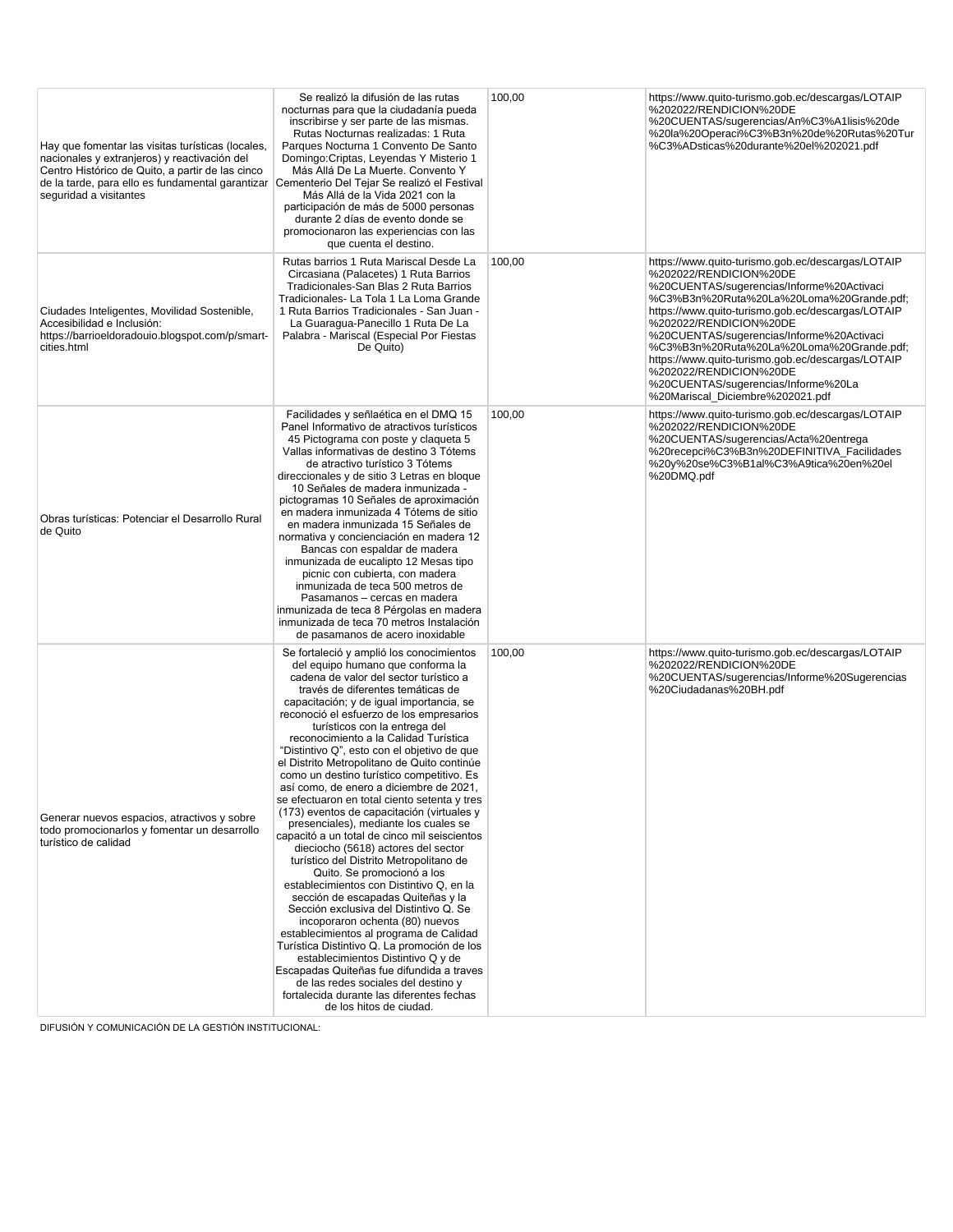| Hay que fomentar las visitas turísticas (locales,<br>nacionales y extranjeros) y reactivación del<br>Centro Histórico de Quito, a partir de las cinco<br>de la tarde, para ello es fundamental garantizar<br>seguridad a visitantes | Se realizó la difusión de las rutas<br>nocturnas para que la ciudadanía pueda<br>inscribirse y ser parte de las mismas.<br>Rutas Nocturnas realizadas: 1 Ruta<br>Parques Nocturna 1 Convento De Santo<br>Domingo: Criptas, Leyendas Y Misterio 1<br>Más Allá De La Muerte. Convento Y<br>Cementerio Del Tejar Se realizó el Festival<br>Más Allá de la Vida 2021 con la<br>participación de más de 5000 personas<br>durante 2 días de evento donde se<br>promocionaron las experiencias con las<br>que cuenta el destino.                                                                                                                                                                                                                                                                                                                                                                                                                                                                                                                                                                                                                                                                                                                                                              | 100,00 | https://www.quito-turismo.gob.ec/descargas/LOTAIP<br>%202022/RENDICION%20DE<br>%20CUENTAS/sugerencias/An%C3%A1lisis%20de<br>%20la%20Operaci%C3%B3n%20de%20Rutas%20Tur<br>%C3%ADsticas%20durante%20el%202021.pdf                                                                                                                                                                                                                                                                                        |
|-------------------------------------------------------------------------------------------------------------------------------------------------------------------------------------------------------------------------------------|----------------------------------------------------------------------------------------------------------------------------------------------------------------------------------------------------------------------------------------------------------------------------------------------------------------------------------------------------------------------------------------------------------------------------------------------------------------------------------------------------------------------------------------------------------------------------------------------------------------------------------------------------------------------------------------------------------------------------------------------------------------------------------------------------------------------------------------------------------------------------------------------------------------------------------------------------------------------------------------------------------------------------------------------------------------------------------------------------------------------------------------------------------------------------------------------------------------------------------------------------------------------------------------|--------|--------------------------------------------------------------------------------------------------------------------------------------------------------------------------------------------------------------------------------------------------------------------------------------------------------------------------------------------------------------------------------------------------------------------------------------------------------------------------------------------------------|
| Ciudades Inteligentes, Movilidad Sostenible,<br>Accesibilidad e Inclusión:<br>https://barrioeldoradouio.blogspot.com/p/smart-<br>cities.html                                                                                        | Rutas barrios 1 Ruta Mariscal Desde La<br>Circasiana (Palacetes) 1 Ruta Barrios<br>Tradicionales-San Blas 2 Ruta Barrios<br>Tradicionales- La Tola 1 La Loma Grande<br>1 Ruta Barrios Tradicionales - San Juan -<br>La Guaragua-Panecillo 1 Ruta De La<br>Palabra - Mariscal (Especial Por Fiestas<br>De Quito)                                                                                                                                                                                                                                                                                                                                                                                                                                                                                                                                                                                                                                                                                                                                                                                                                                                                                                                                                                        | 100,00 | https://www.quito-turismo.gob.ec/descargas/LOTAIP<br>%202022/RENDICION%20DE<br>%20CUENTAS/sugerencias/Informe%20Activaci<br>%C3%B3n%20Ruta%20La%20Loma%20Grande.pdf;<br>https://www.quito-turismo.gob.ec/descargas/LOTAIP<br>%202022/RENDICION%20DE<br>%20CUENTAS/sugerencias/Informe%20Activaci<br>%C3%B3n%20Ruta%20La%20Loma%20Grande.pdf;<br>https://www.quito-turismo.gob.ec/descargas/LOTAIP<br>%202022/RENDICION%20DE<br>%20CUENTAS/sugerencias/Informe%20La<br>%20Mariscal_Diciembre%202021.pdf |
| Obras turísticas: Potenciar el Desarrollo Rural<br>de Quito                                                                                                                                                                         | Facilidades y señlaética en el DMQ 15<br>Panel Informativo de atractivos turísticos<br>45 Pictograma con poste y claqueta 5<br>Vallas informativas de destino 3 Tótems<br>de atractivo turístico 3 Tótems<br>direccionales y de sitio 3 Letras en bloque<br>10 Señales de madera inmunizada -<br>pictogramas 10 Señales de aproximación<br>en madera inmunizada 4 Tótems de sitio<br>en madera inmunizada 15 Señales de<br>normativa y concienciación en madera 12<br>Bancas con espaldar de madera<br>inmunizada de eucalipto 12 Mesas tipo<br>picnic con cubierta, con madera<br>inmunizada de teca 500 metros de<br>Pasamanos - cercas en madera<br>inmunizada de teca 8 Pérgolas en madera<br>inmunizada de teca 70 metros Instalación<br>de pasamanos de acero inoxidable                                                                                                                                                                                                                                                                                                                                                                                                                                                                                                         | 100,00 | https://www.quito-turismo.gob.ec/descargas/LOTAIP<br>%202022/RENDICION%20DE<br>%20CUENTAS/sugerencias/Acta%20entrega<br>%20recepci%C3%B3n%20DEFINITIVA_Facilidades<br>%20y%20se%C3%B1al%C3%A9tica%20en%20el<br>%20DMQ.pdf                                                                                                                                                                                                                                                                              |
| Generar nuevos espacios, atractivos y sobre<br>todo promocionarlos y fomentar un desarrollo<br>turístico de calidad                                                                                                                 | Se fortaleció y amplió los conocimientos<br>del equipo humano que conforma la<br>cadena de valor del sector turístico a<br>través de diferentes temáticas de<br>capacitación; y de igual importancia, se<br>reconoció el esfuerzo de los empresarios<br>turísticos con la entrega del<br>reconocimiento a la Calidad Turística<br>"Distintivo Q", esto con el objetivo de que<br>el Distrito Metropolitano de Quito continúe<br>como un destino turístico competitivo. Es<br>así como, de enero a diciembre de 2021,<br>se efectuaron en total ciento setenta y tres<br>(173) eventos de capacitación (virtuales y<br>presenciales), mediante los cuales se<br>capacitó a un total de cinco mil seiscientos<br>dieciocho (5618) actores del sector<br>turístico del Distrito Metropolitano de<br>Quito. Se promocionó a los<br>establecimientos con Distintivo Q, en la<br>sección de escapadas Quiteñas y la<br>Sección exclusiva del Distintivo Q. Se<br>incoporaron ochenta (80) nuevos<br>establecimientos al programa de Calidad<br>Turística Distintivo Q. La promoción de los<br>establecimientos Distintivo Q y de<br>Escapadas Quiteñas fue difundida a traves<br>de las redes sociales del destino y<br>fortalecida durante las diferentes fechas<br>de los hitos de ciudad. | 100,00 | https://www.quito-turismo.gob.ec/descargas/LOTAIP<br>%202022/RENDICION%20DE<br>%20CUENTAS/sugerencias/Informe%20Sugerencias<br>%20Ciudadanas%20BH.pdf                                                                                                                                                                                                                                                                                                                                                  |

DIFUSIÓN Y COMUNICACIÓN DE LA GESTIÓN INSTITUCIONAL: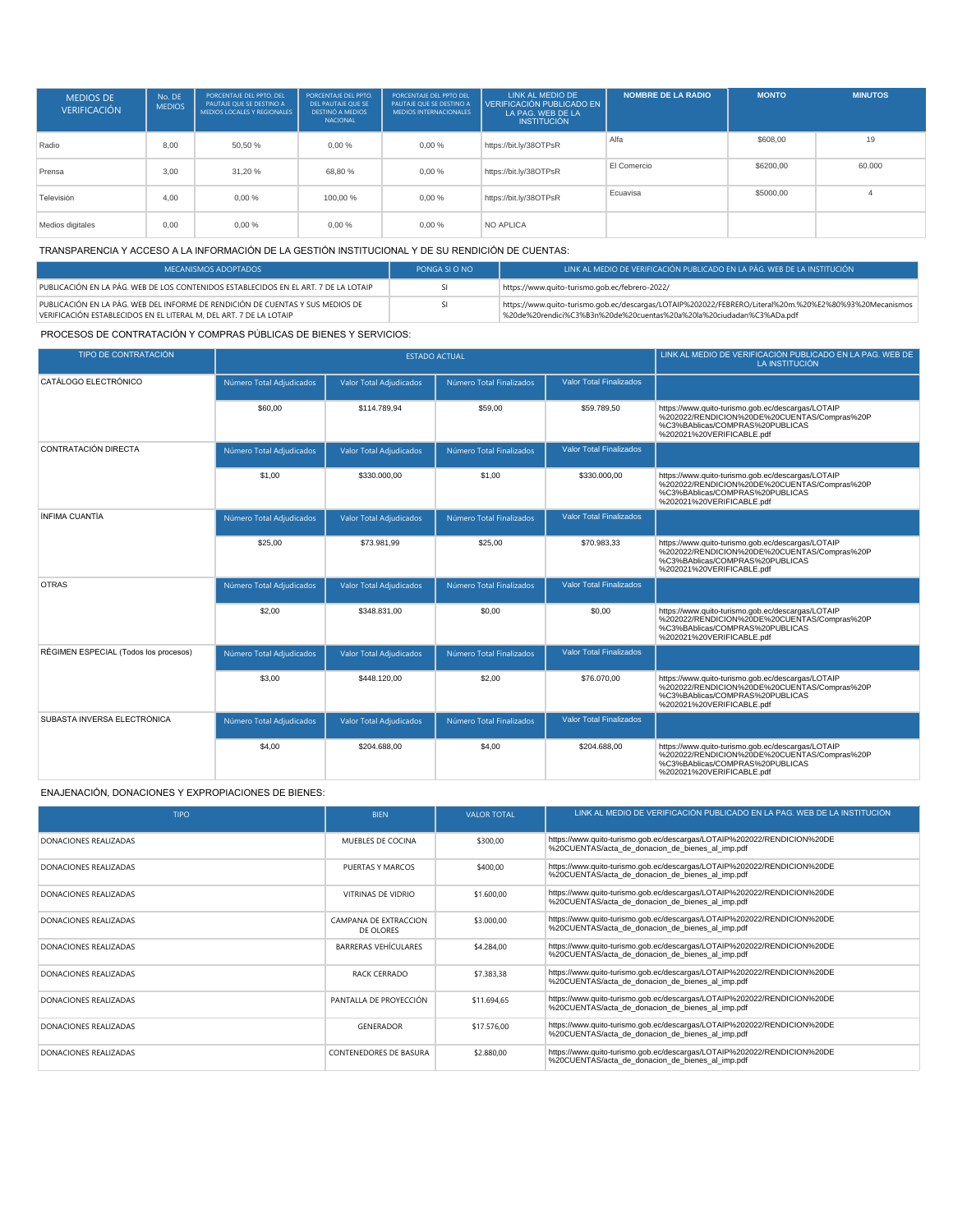| <b>MEDIOS DE</b><br><b>VERIFICACIÓN</b> | No. DE<br><b>MEDIOS</b> | PORCENTAJE DEL PPTO, DEL<br>PAUTAJE OUE SE DESTINO A<br>MEDIOS LOCALES Y REGIONALES | PORCENTAJE DEL PPTO.<br>DEL PAUTAJE OUE SE<br>DESTINÓ A MEDIOS<br>NACIONAL | PORCENTAJE DEL PPTO DEL<br>PAUTAJE OUE SE DESTINO A<br><b>MEDIOS INTERNACIONALES</b> | LINK AL MEDIO DE<br>VERIFICACIÓN PUBLICADO EN<br>LA PAG. WEB DE LA<br><b>INSTITUCIÓN</b> | <b>NOMBRE DE LA RADIO</b> | <b>MONTO</b> | <b>MINUTOS</b> |
|-----------------------------------------|-------------------------|-------------------------------------------------------------------------------------|----------------------------------------------------------------------------|--------------------------------------------------------------------------------------|------------------------------------------------------------------------------------------|---------------------------|--------------|----------------|
| Radio                                   | 8.00                    | 50.50 %                                                                             | 0.00%                                                                      | 0.00%                                                                                | https://bit.ly/38OTPsR                                                                   | Alfa                      | \$608.00     | 19             |
| Prensa                                  | 3.00                    | 31.20 %                                                                             | 68.80%                                                                     | 0.00%                                                                                | https://bit.ly/38OTPsR                                                                   | El Comercio               | \$6200,00    | 60,000         |
| Televisión                              | 4.00                    | 0.00%                                                                               | 100.00%                                                                    | 0.00%                                                                                | https://bit.ly/38OTPsR                                                                   | Ecuavisa                  | \$5000,00    |                |
| Medios digitales                        | 0.00                    | 0.00%                                                                               | 0.00%                                                                      | 0.00%                                                                                | NO APLICA                                                                                |                           |              |                |

#### TRANSPARENCIA Y ACCESO A LA INFORMACIÓN DE LA GESTIÓN INSTITUCIONAL Y DE SU RENDICIÓN DE CUENTAS:

| MECANISMOS ADOPTADOS                                                                                                                                 | PONGA SLO NO | LINK AL MEDIO DE VERIFICACIÓN PUBLICADO EN LA PÁG. WEB DE LA INSTITUCIÓN                                                                                                       |
|------------------------------------------------------------------------------------------------------------------------------------------------------|--------------|--------------------------------------------------------------------------------------------------------------------------------------------------------------------------------|
| PUBLICACIÓN EN LA PÁG. WEB DE LOS CONTENIDOS ESTABLECIDOS EN EL ART. 7 DE LA LOTAIP                                                                  |              | https://www.quito-turismo.gob.ec/febrero-2022/                                                                                                                                 |
| PUBLICACIÓN EN LA PÁG. WEB DEL INFORME DE RENDICIÓN DE CUENTAS Y SUS MEDIOS DE<br>VERIFICACIÓN ESTABLECIDOS EN EL LITERAL M. DEL ART. 7 DE LA LOTAIP |              | https://www.quito-turismo.gob.ec/descargas/LOTAIP%202022/FEBRERO/Literal%20m.%20%E2%80%93%20Mecanismos<br>820de%20rendici%C3%B3n%20de%20cuentas%20a%20la%20ciudadan%C3%ADa.pdf |

PROCESOS DE CONTRATACIÓN Y COMPRAS PÚBLICAS DE BIENES Y SERVICIOS:

| TIPO DE CONTRATACIÓN                  |                          | <b>ESTADO ACTUAL</b>           | LINK AL MEDIO DE VERIFICACIÓN PUBLICADO EN LA PAG. WEB DE<br>LA INSTITUCIÓN |                                |                                                                                                                                                                   |
|---------------------------------------|--------------------------|--------------------------------|-----------------------------------------------------------------------------|--------------------------------|-------------------------------------------------------------------------------------------------------------------------------------------------------------------|
| CATÁLOGO ELECTRÓNICO                  | Número Total Adjudicados | <b>Valor Total Adjudicados</b> | Número Total Finalizados                                                    | <b>Valor Total Finalizados</b> |                                                                                                                                                                   |
|                                       | \$60,00                  | \$114,789.94                   | \$59,00                                                                     | \$59,789.50                    | https://www.quito-turismo.gob.ec/descargas/LOTAIP<br>%202022/RENDICION%20DE%20CUENTAS/Compras%20P<br>%C3%BAblicas/COMPRAS%20PUBLICAS<br>%202021%20VERIFICABLE.pdf |
| CONTRATACIÓN DIRECTA                  | Número Total Adjudicados | <b>Valor Total Adjudicados</b> | Número Total Finalizados                                                    | <b>Valor Total Finalizados</b> |                                                                                                                                                                   |
|                                       | \$1,00                   | \$330.000,00                   | \$1,00                                                                      | \$330.000,00                   | https://www.quito-turismo.gob.ec/descargas/LOTAIP<br>%202022/RENDICION%20DE%20CUENTAS/Compras%20P<br>%C3%BAblicas/COMPRAS%20PUBLICAS<br>%202021%20VERIFICABLE.pdf |
| ÍNFIMA CUANTÍA                        | Número Total Adjudicados | <b>Valor Total Adjudicados</b> | Número Total Finalizados                                                    | <b>Valor Total Finalizados</b> |                                                                                                                                                                   |
|                                       | \$25,00                  | \$73,981.99                    | \$25,00                                                                     | \$70.983.33                    | https://www.quito-turismo.gob.ec/descargas/LOTAIP<br>%202022/RENDICION%20DE%20CUENTAS/Compras%20P<br>%C3%BAblicas/COMPRAS%20PUBLICAS<br>%202021%20VERIFICABLE.pdf |
| <b>OTRAS</b>                          | Número Total Adjudicados | <b>Valor Total Adjudicados</b> | Número Total Finalizados                                                    | <b>Valor Total Finalizados</b> |                                                                                                                                                                   |
|                                       | \$2,00                   | \$348,831.00                   | \$0,00                                                                      | \$0.00                         | https://www.quito-turismo.gob.ec/descargas/LOTAIP<br>%202022/RENDICION%20DE%20CUENTAS/Compras%20P<br>%C3%BAblicas/COMPRAS%20PUBLICAS<br>%202021%20VERIFICABLE.pdf |
| RÉGIMEN ESPECIAL (Todos los procesos) | Número Total Adjudicados | <b>Valor Total Adjudicados</b> | Número Total Finalizados                                                    | <b>Valor Total Finalizados</b> |                                                                                                                                                                   |
|                                       | \$3.00                   | \$448,120.00                   | \$2,00                                                                      | \$76,070.00                    | https://www.quito-turismo.gob.ec/descargas/LOTAIP<br>%202022/RENDICION%20DE%20CUENTAS/Compras%20P<br>%C3%BAblicas/COMPRAS%20PUBLICAS<br>%202021%20VERIFICABLE.pdf |
| SUBASTA INVERSA FLECTRÓNICA           | Número Total Adjudicados | <b>Valor Total Adjudicados</b> | Número Total Finalizados                                                    | <b>Valor Total Finalizados</b> |                                                                                                                                                                   |
|                                       | \$4,00                   | \$204.688,00                   | \$4,00                                                                      | \$204.688,00                   | https://www.quito-turismo.gob.ec/descargas/LOTAIP<br>%202022/RENDICION%20DE%20CUENTAS/Compras%20P<br>%C3%BAblicas/COMPRAS%20PUBLICAS<br>%202021%20VERIFICABLE.pdf |

#### ENAJENACIÓN, DONACIONES Y EXPROPIACIONES DE BIENES:

| <b>TIPO</b>           | <b>BIEN</b>                        | <b>VALOR TOTAL</b> | LINK AL MEDIO DE VERIFICACIÓN PUBLICADO EN LA PAG. WEB DE LA INSTITUCIÓN                                                    |
|-----------------------|------------------------------------|--------------------|-----------------------------------------------------------------------------------------------------------------------------|
| DONACIONES REALIZADAS | MUEBLES DE COCINA                  | \$300,00           | https://www.quito-turismo.gob.ec/descargas/LOTAIP%202022/RENDICION%20DE<br>%20CUENTAS/acta de donacion de bienes al imp.pdf |
| DONACIONES REALIZADAS | PUFRTAS Y MARCOS                   | \$400.00           | https://www.quito-turismo.gob.ec/descargas/LOTAIP%202022/RENDICION%20DE<br>%20CUENTAS/acta de donacion de bienes al imp.pdf |
| DONACIONES REALIZADAS | VITRINAS DE VIDRIO                 | \$1.600,00         | https://www.quito-turismo.gob.ec/descargas/LOTAIP%202022/RENDICION%20DE<br>%20CUENTAS/acta de donacion de bienes al imp.pdf |
| DONACIONES REALIZADAS | CAMPANA DE EXTRACCION<br>DE OLORES | \$3,000.00         | https://www.quito-turismo.gob.ec/descargas/LOTAIP%202022/RENDICION%20DE<br>%20CUENTAS/acta de donacion de bienes al imp.pdf |
| DONACIONES REALIZADAS | BARRERAS VEHÍCULARES               | \$4,284.00         | https://www.quito-turismo.gob.ec/descargas/LOTAIP%202022/RENDICION%20DE<br>%20CUENTAS/acta de donacion de bienes al imp.pdf |
| DONACIONES REALIZADAS | <b>RACK CERRADO</b>                | \$7,383,38         | https://www.quito-turismo.gob.ec/descargas/LOTAIP%202022/RENDICION%20DE<br>%20CUENTAS/acta de donacion de bienes al imp.pdf |
| DONACIONES REALIZADAS | PANTALLA DE PROYECCIÓN             | \$11.694,65        | https://www.quito-turismo.qob.ec/descargas/LOTAIP%202022/RENDICION%20DE<br>%20CUENTAS/acta de donacion de bienes al imp.pdf |
| DONACIONES REALIZADAS | <b>GENERADOR</b>                   | \$17,576.00        | https://www.quito-turismo.gob.ec/descargas/LOTAIP%202022/RENDICION%20DE<br>%20CUENTAS/acta de donacion de bienes al imp.pdf |
| DONACIONES REALIZADAS | CONTENEDORES DE BASURA             | \$2.880,00         | https://www.quito-turismo.gob.ec/descargas/LOTAIP%202022/RENDICION%20DE<br>%20CUENTAS/acta de donacion de bienes al imp.pdf |